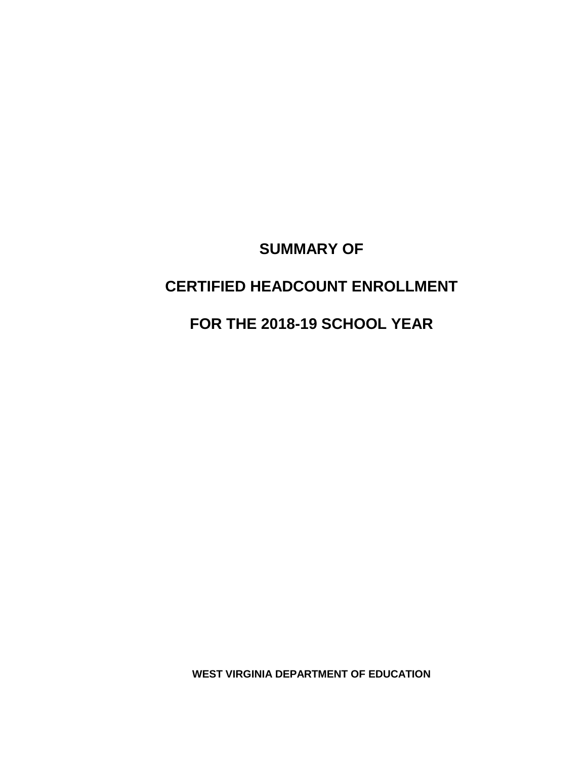# **SUMMARY OF**

# **CERTIFIED HEADCOUNT ENROLLMENT**

# **FOR THE 2018-19 SCHOOL YEAR**

**WEST VIRGINIA DEPARTMENT OF EDUCATION**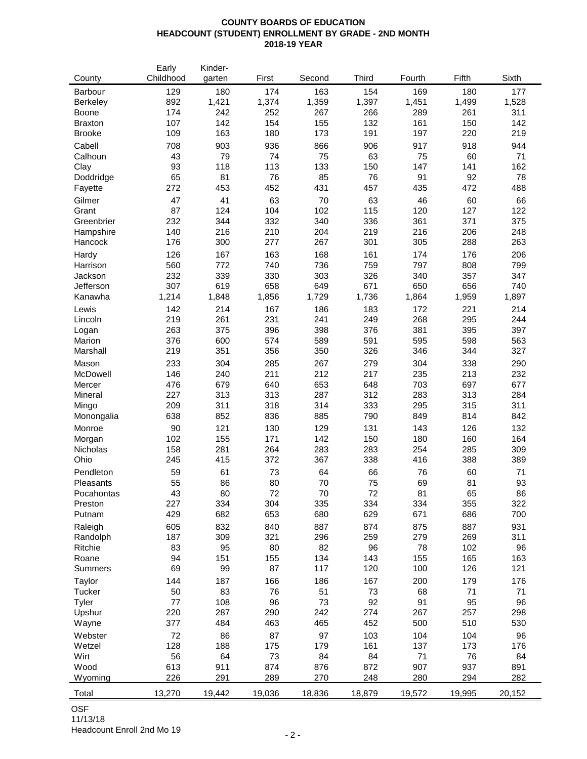### **COUNTY BOARDS OF EDUCATION HEADCOUNT (STUDENT) ENROLLMENT BY GRADE - 2ND MONTH 2018-19 YEAR**

|                 | Early     | Kinder- |        |        |              |        |        |        |
|-----------------|-----------|---------|--------|--------|--------------|--------|--------|--------|
| County          | Childhood | garten  | First  | Second | <b>Third</b> | Fourth | Fifth  | Sixth  |
| Barbour         | 129       | 180     | 174    | 163    | 154          | 169    | 180    | 177    |
| <b>Berkeley</b> | 892       | 1,421   | 1,374  | 1,359  | 1,397        | 1,451  | 1,499  | 1,528  |
| Boone           | 174       | 242     | 252    | 267    | 266          | 289    | 261    | 311    |
| <b>Braxton</b>  | 107       | 142     | 154    | 155    | 132          | 161    | 150    | 142    |
| <b>Brooke</b>   | 109       | 163     | 180    | 173    | 191          | 197    | 220    | 219    |
|                 |           |         |        |        |              |        |        |        |
| Cabell          | 708       | 903     | 936    | 866    | 906          | 917    | 918    | 944    |
| Calhoun         | 43        | 79      | 74     | 75     | 63           | 75     | 60     | 71     |
| Clay            | 93        | 118     | 113    | 133    | 150          | 147    | 141    | 162    |
| Doddridge       | 65        | 81      | 76     | 85     | 76           | 91     | 92     | 78     |
| Fayette         | 272       | 453     | 452    | 431    | 457          | 435    | 472    | 488    |
| Gilmer          | 47        | 41      | 63     | 70     | 63           | 46     | 60     | 66     |
| Grant           | 87        | 124     | 104    | 102    | 115          | 120    | 127    | 122    |
| Greenbrier      | 232       | 344     | 332    | 340    | 336          | 361    | 371    | 375    |
| Hampshire       | 140       | 216     | 210    | 204    | 219          | 216    | 206    | 248    |
| Hancock         | 176       | 300     | 277    | 267    | 301          | 305    | 288    | 263    |
|                 | 126       | 167     | 163    | 168    | 161          | 174    | 176    | 206    |
| Hardy           |           |         |        |        |              |        |        |        |
| Harrison        | 560       | 772     | 740    | 736    | 759          | 797    | 808    | 799    |
| Jackson         | 232       | 339     | 330    | 303    | 326          | 340    | 357    | 347    |
| Jefferson       | 307       | 619     | 658    | 649    | 671          | 650    | 656    | 740    |
| Kanawha         | 1,214     | 1,848   | 1,856  | 1,729  | 1,736        | 1,864  | 1,959  | 1,897  |
| Lewis           | 142       | 214     | 167    | 186    | 183          | 172    | 221    | 214    |
| Lincoln         | 219       | 261     | 231    | 241    | 249          | 268    | 295    | 244    |
| Logan           | 263       | 375     | 396    | 398    | 376          | 381    | 395    | 397    |
| Marion          | 376       | 600     | 574    | 589    | 591          | 595    | 598    | 563    |
| Marshall        | 219       | 351     | 356    | 350    | 326          | 346    | 344    | 327    |
| Mason           | 233       | 304     | 285    | 267    | 279          | 304    | 338    | 290    |
| McDowell        | 146       | 240     | 211    | 212    | 217          | 235    | 213    | 232    |
|                 | 476       |         | 640    | 653    |              | 703    | 697    |        |
| Mercer          |           | 679     |        |        | 648          |        |        | 677    |
| Mineral         | 227       | 313     | 313    | 287    | 312          | 283    | 313    | 284    |
| Mingo           | 209       | 311     | 318    | 314    | 333          | 295    | 315    | 311    |
| Monongalia      | 638       | 852     | 836    | 885    | 790          | 849    | 814    | 842    |
| Monroe          | 90        | 121     | 130    | 129    | 131          | 143    | 126    | 132    |
| Morgan          | 102       | 155     | 171    | 142    | 150          | 180    | 160    | 164    |
| Nicholas        | 158       | 281     | 264    | 283    | 283          | 254    | 285    | 309    |
| Ohio            | 245       | 415     | 372    | 367    | 338          | 416    | 388    | 389    |
| Pendleton       | 59        | 61      | 73     | 64     | 66           | 76     | 60     | 71     |
| Pleasants       | 55        | 86      | 80     | 70     | 75           | 69     | 81     | 93     |
| Pocahontas      | 43        | 80      | 72     | 70     | 72           | 81     | 65     | 86     |
| Preston         | 227       | 334     | 304    | 335    | 334          | 334    | 355    | 322    |
| Putnam          | 429       | 682     | 653    | 680    | 629          | 671    | 686    | 700    |
|                 |           |         |        |        |              |        |        |        |
| Raleigh         | 605       | 832     | 840    | 887    | 874          | 875    | 887    | 931    |
| Randolph        | 187       | 309     | 321    | 296    | 259          | 279    | 269    | 311    |
| Ritchie         | 83        | 95      | 80     | 82     | 96           | 78     | 102    | 96     |
| Roane           | 94        | 151     | 155    | 134    | 143          | 155    | 165    | 163    |
| Summers         | 69        | 99      | 87     | 117    | 120          | 100    | 126    | 121    |
| Taylor          | 144       | 187     | 166    | 186    | 167          | 200    | 179    | 176    |
| Tucker          | 50        | 83      | 76     | 51     | 73           | 68     | 71     | 71     |
| Tyler           | 77        | 108     | 96     | 73     | 92           | 91     | 95     | 96     |
| Upshur          | 220       | 287     | 290    | 242    | 274          | 267    | 257    | 298    |
| Wayne           | 377       | 484     | 463    | 465    | 452          | 500    | 510    | 530    |
|                 | 72        | 86      | 87     | 97     | 103          | 104    | 104    | 96     |
| Webster         |           |         |        |        |              |        |        |        |
| Wetzel          | 128       | 188     | 175    | 179    | 161          | 137    | 173    | 176    |
| Wirt            | 56        | 64      | 73     | 84     | 84           | 71     | 76     | 84     |
| Wood            | 613       | 911     | 874    | 876    | 872          | 907    | 937    | 891    |
| Wyoming         | 226       | 291     | 289    | 270    | 248          | 280    | 294    | 282    |
| Total           | 13,270    | 19,442  | 19,036 | 18,836 | 18,879       | 19,572 | 19,995 | 20,152 |
|                 |           |         |        |        |              |        |        |        |

OSF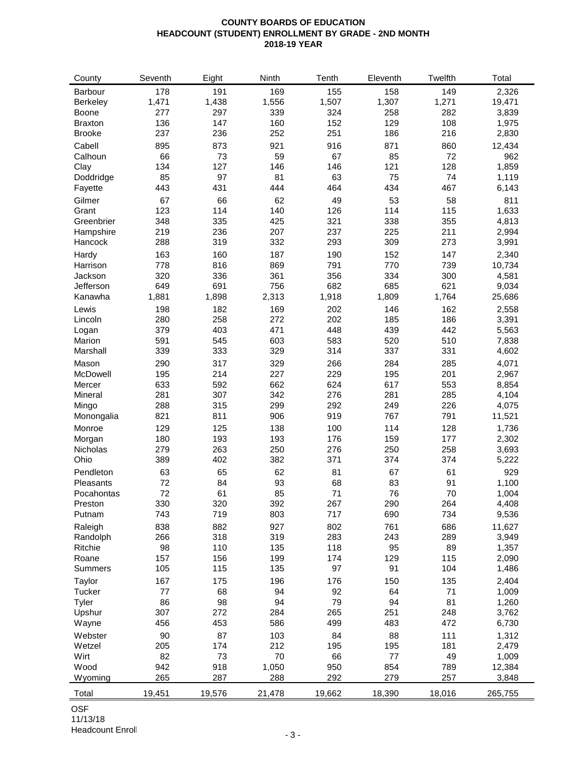### **COUNTY BOARDS OF EDUCATION HEADCOUNT (STUDENT) ENROLLMENT BY GRADE - 2ND MONTH 2018-19 YEAR**

| County         | Seventh | Eight  | Ninth  | Tenth  | Eleventh | Twelfth | Total   |
|----------------|---------|--------|--------|--------|----------|---------|---------|
| Barbour        | 178     | 191    | 169    | 155    | 158      | 149     | 2,326   |
| Berkeley       | 1,471   | 1,438  | 1,556  | 1,507  | 1,307    | 1,271   | 19,471  |
| Boone          | 277     | 297    | 339    | 324    | 258      | 282     | 3,839   |
| <b>Braxton</b> | 136     | 147    | 160    | 152    | 129      | 108     | 1,975   |
| <b>Brooke</b>  | 237     | 236    | 252    | 251    | 186      | 216     | 2,830   |
| Cabell         | 895     | 873    | 921    | 916    | 871      | 860     | 12,434  |
| Calhoun        | 66      | 73     | 59     | 67     | 85       | 72      | 962     |
| Clay           | 134     | 127    | 146    | 146    | 121      | 128     | 1,859   |
| Doddridge      | 85      | 97     | 81     | 63     | 75       | 74      | 1,119   |
| Fayette        | 443     | 431    | 444    | 464    | 434      | 467     | 6,143   |
|                | 67      | 66     | 62     | 49     | 53       | 58      | 811     |
| Gilmer         | 123     | 114    | 140    | 126    | 114      | 115     | 1,633   |
| Grant          | 348     | 335    |        |        | 338      |         |         |
| Greenbrier     |         |        | 425    | 321    |          | 355     | 4,813   |
| Hampshire      | 219     | 236    | 207    | 237    | 225      | 211     | 2,994   |
| Hancock        | 288     | 319    | 332    | 293    | 309      | 273     | 3,991   |
| Hardy          | 163     | 160    | 187    | 190    | 152      | 147     | 2,340   |
| Harrison       | 778     | 816    | 869    | 791    | 770      | 739     | 10,734  |
| Jackson        | 320     | 336    | 361    | 356    | 334      | 300     | 4,581   |
| Jefferson      | 649     | 691    | 756    | 682    | 685      | 621     | 9,034   |
| Kanawha        | 1,881   | 1,898  | 2,313  | 1,918  | 1,809    | 1,764   | 25,686  |
| Lewis          | 198     | 182    | 169    | 202    | 146      | 162     | 2,558   |
| Lincoln        | 280     | 258    | 272    | 202    | 185      | 186     | 3,391   |
| Logan          | 379     | 403    | 471    | 448    | 439      | 442     | 5,563   |
| Marion         | 591     | 545    | 603    | 583    | 520      | 510     | 7,838   |
| Marshall       | 339     | 333    | 329    | 314    | 337      | 331     | 4,602   |
| Mason          | 290     | 317    | 329    | 266    | 284      | 285     | 4,071   |
| McDowell       | 195     | 214    | 227    | 229    | 195      | 201     | 2,967   |
| Mercer         | 633     | 592    | 662    | 624    | 617      | 553     | 8,854   |
| Mineral        | 281     | 307    | 342    | 276    | 281      | 285     | 4,104   |
| Mingo          | 288     | 315    | 299    | 292    | 249      | 226     | 4,075   |
| Monongalia     | 821     | 811    | 906    | 919    | 767      | 791     | 11,521  |
| Monroe         | 129     | 125    | 138    | 100    | 114      | 128     | 1,736   |
| Morgan         | 180     | 193    | 193    | 176    | 159      | 177     | 2,302   |
| Nicholas       | 279     | 263    | 250    | 276    | 250      | 258     | 3,693   |
| Ohio           | 389     | 402    | 382    | 371    | 374      | 374     | 5,222   |
| Pendleton      | 63      | 65     | 62     | 81     | 67       | 61      | 929     |
| Pleasants      | 72      | 84     | 93     | 68     | 83       | 91      | 1,100   |
| Pocahontas     | 72      | 61     | 85     | 71     | 76       | 70      | 1,004   |
| Preston        | 330     | 320    | 392    | 267    | 290      | 264     | 4,408   |
| Putnam         | 743     | 719    | 803    | 717    | 690      | 734     | 9,536   |
| Raleigh        | 838     | 882    | 927    | 802    | 761      | 686     | 11,627  |
| Randolph       | 266     | 318    | 319    | 283    | 243      | 289     | 3,949   |
| Ritchie        | 98      | 110    | 135    | 118    | 95       | 89      | 1,357   |
| Roane          | 157     | 156    | 199    | 174    | 129      | 115     | 2,090   |
| <b>Summers</b> | 105     | 115    | 135    | 97     | 91       | 104     | 1,486   |
| Taylor         | 167     | 175    | 196    | 176    | 150      | 135     | 2,404   |
| Tucker         | 77      | 68     | 94     | 92     | 64       | 71      | 1,009   |
| Tyler          | 86      | 98     | 94     | 79     | 94       | 81      | 1,260   |
| Upshur         | 307     | 272    | 284    | 265    | 251      | 248     | 3,762   |
| Wayne          | 456     | 453    | 586    | 499    | 483      | 472     | 6,730   |
| Webster        | 90      | 87     | 103    | 84     | 88       | 111     | 1,312   |
| Wetzel         | 205     | 174    | 212    | 195    | 195      | 181     | 2,479   |
| Wirt           | 82      | 73     | 70     | 66     | $77$     | 49      | 1,009   |
| Wood           | 942     | 918    | 1,050  | 950    | 854      | 789     | 12,384  |
| Wyoming        | 265     | 287    | 288    | 292    | 279      | 257     | 3,848   |
|                |         |        |        |        |          |         |         |
| Total          | 19,451  | 19,576 | 21,478 | 19,662 | 18,390   | 18,016  | 265,755 |

OSF 11/13/18

Headcount Enroll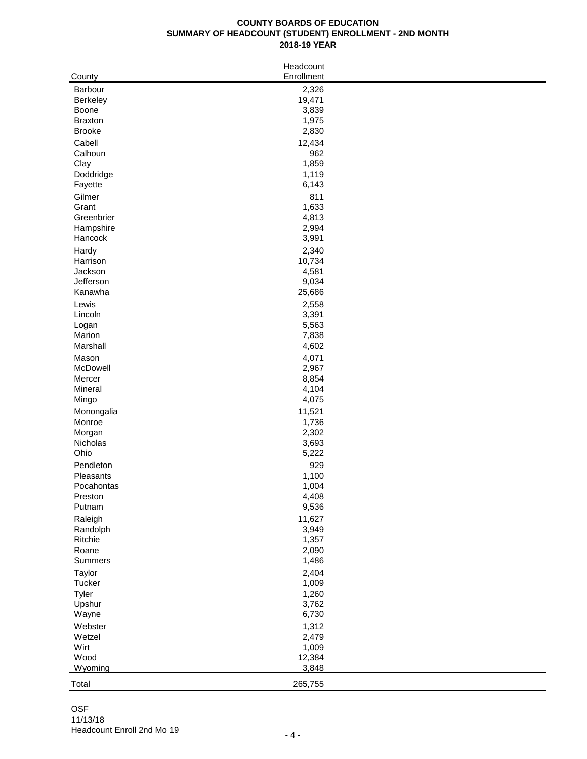## **COUNTY BOARDS OF EDUCATION SUMMARY OF HEADCOUNT (STUDENT) ENROLLMENT - 2ND MONTH 2018-19 YEAR**

| County               | Headcount<br>Enrollment |
|----------------------|-------------------------|
| Barbour              | 2,326                   |
| Berkeley             | 19,471                  |
| Boone                | 3,839                   |
| <b>Braxton</b>       | 1,975                   |
| <b>Brooke</b>        | 2,830                   |
| Cabell               | 12,434                  |
| Calhoun              | 962                     |
| Clay                 | 1,859                   |
| Doddridge            | 1,119                   |
| Fayette              | 6,143                   |
| Gilmer               | 811                     |
| Grant                | 1,633                   |
| Greenbrier           | 4,813                   |
| Hampshire            | 2,994                   |
| Hancock              | 3,991                   |
| Hardy                | 2,340                   |
| Harrison             | 10,734                  |
| Jackson              | 4,581                   |
| Jefferson<br>Kanawha | 9,034<br>25,686         |
|                      |                         |
| Lewis<br>Lincoln     | 2,558<br>3,391          |
| Logan                | 5,563                   |
| Marion               | 7,838                   |
| Marshall             | 4,602                   |
| Mason                | 4,071                   |
| McDowell             | 2,967                   |
| Mercer               | 8,854                   |
| Mineral              | 4,104                   |
| Mingo                | 4,075                   |
| Monongalia           | 11,521                  |
| Monroe               | 1,736                   |
| Morgan               | 2,302                   |
| Nicholas             | 3,693                   |
| Ohio                 | 5,222                   |
| Pendleton            | 929                     |
| Pleasants            | 1,100                   |
| Pocahontas           | 1,004                   |
| Preston<br>Putnam    | 4,408                   |
|                      | 9,536                   |
| Raleigh<br>Randolph  | 11,627<br>3,949         |
| Ritchie              | 1,357                   |
| Roane                | 2,090                   |
| Summers              | 1,486                   |
| Taylor               | 2,404                   |
| Tucker               | 1,009                   |
| Tyler                | 1,260                   |
| Upshur               | 3,762                   |
| Wayne                | 6,730                   |
| Webster              | 1,312                   |
| Wetzel               | 2,479                   |
| Wirt                 | 1,009                   |
| Wood                 | 12,384                  |
| Wyoming              | 3,848                   |
| Total                | 265,755                 |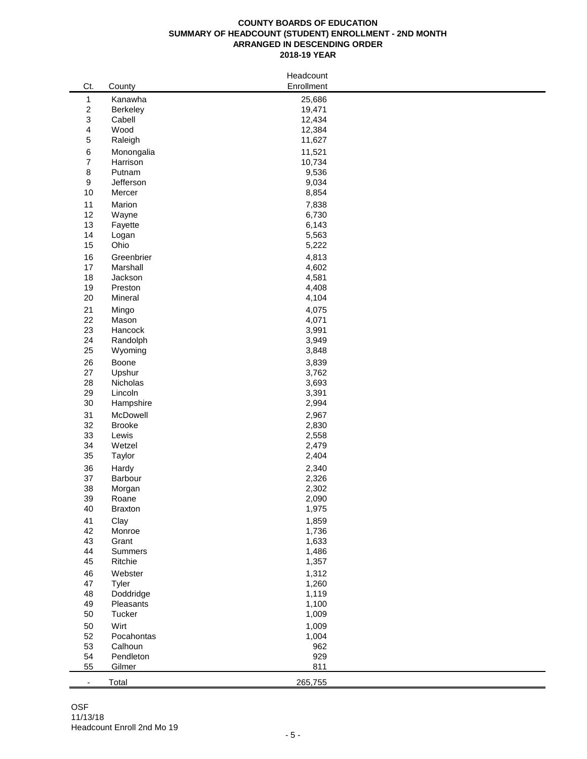#### **COUNTY BOARDS OF EDUCATION SUMMARY OF HEADCOUNT (STUDENT) ENROLLMENT - 2ND MONTH ARRANGED IN DESCENDING ORDER 2018-19 YEAR**

| $\mathbf{1}$<br>Kanawha<br>25,686<br>$\sqrt{2}$<br>19,471<br>Berkeley<br>3<br>Cabell<br>12,434<br>4<br>Wood<br>12,384<br>$\mathbf 5$<br>11,627<br>Raleigh<br>$\,6\,$<br>11,521<br>Monongalia<br>$\boldsymbol{7}$<br>Harrison<br>10,734<br>$\,8\,$<br>Putnam<br>9,536<br>$\boldsymbol{9}$<br>Jefferson<br>9,034<br>10<br>8,854<br>Mercer<br>11<br>7,838<br>Marion<br>12<br>Wayne<br>6,730<br>13<br>6,143<br>Fayette<br>14<br>5,563<br>Logan<br>15<br>Ohio<br>5,222<br>16<br>4,813<br>Greenbrier<br>17<br>Marshall<br>4,602<br>18<br>Jackson<br>4,581<br>19<br>Preston<br>4,408<br>20<br>Mineral<br>4,104<br>21<br>4,075<br>Mingo<br>22<br>4,071<br>Mason<br>23<br>3,991<br>Hancock<br>24<br>3,949<br>Randolph<br>25<br>3,848<br>Wyoming<br>26<br>Boone<br>3,839<br>27<br>3,762<br>Upshur<br>28<br>Nicholas<br>3,693<br>29<br>Lincoln<br>3,391<br>30<br>2,994<br>Hampshire<br>31<br>McDowell<br>2,967<br>32<br><b>Brooke</b><br>2,830<br>33<br>Lewis<br>2,558<br>34<br>2,479<br>Wetzel<br>35<br>2,404<br>Taylor<br>36<br>2,340<br>Hardy<br>37<br>2,326<br>Barbour<br>38<br>2,302<br>Morgan<br>39<br>2,090<br>Roane<br>Braxton<br>1,975<br>40<br>1,859<br>41<br>Clay<br>1,736<br>42<br>Monroe<br>43<br>Grant<br>1,633<br>44<br>Summers<br>1,486<br>45<br>Ritchie<br>1,357<br>1,312<br>46<br>Webster<br>47<br>Tyler<br>1,260<br>48<br>Doddridge<br>1,119<br>49<br>Pleasants<br>1,100<br>50<br>Tucker<br>1,009<br>Wirt<br>1,009<br>50<br>52<br>Pocahontas<br>1,004<br>53<br>962<br>Calhoun<br>929<br>54<br>Pendleton<br>811<br>55<br>Gilmer<br>265,755<br>Total<br>$\overline{\phantom{a}}$ |     |        | Headcount  |  |
|----------------------------------------------------------------------------------------------------------------------------------------------------------------------------------------------------------------------------------------------------------------------------------------------------------------------------------------------------------------------------------------------------------------------------------------------------------------------------------------------------------------------------------------------------------------------------------------------------------------------------------------------------------------------------------------------------------------------------------------------------------------------------------------------------------------------------------------------------------------------------------------------------------------------------------------------------------------------------------------------------------------------------------------------------------------------------------------------------------------------------------------------------------------------------------------------------------------------------------------------------------------------------------------------------------------------------------------------------------------------------------------------------------------------------------------------------------------------------------------------------------------------------------------------------------------------------------------|-----|--------|------------|--|
|                                                                                                                                                                                                                                                                                                                                                                                                                                                                                                                                                                                                                                                                                                                                                                                                                                                                                                                                                                                                                                                                                                                                                                                                                                                                                                                                                                                                                                                                                                                                                                                        | Ct. | County | Enrollment |  |
|                                                                                                                                                                                                                                                                                                                                                                                                                                                                                                                                                                                                                                                                                                                                                                                                                                                                                                                                                                                                                                                                                                                                                                                                                                                                                                                                                                                                                                                                                                                                                                                        |     |        |            |  |
|                                                                                                                                                                                                                                                                                                                                                                                                                                                                                                                                                                                                                                                                                                                                                                                                                                                                                                                                                                                                                                                                                                                                                                                                                                                                                                                                                                                                                                                                                                                                                                                        |     |        |            |  |
|                                                                                                                                                                                                                                                                                                                                                                                                                                                                                                                                                                                                                                                                                                                                                                                                                                                                                                                                                                                                                                                                                                                                                                                                                                                                                                                                                                                                                                                                                                                                                                                        |     |        |            |  |
|                                                                                                                                                                                                                                                                                                                                                                                                                                                                                                                                                                                                                                                                                                                                                                                                                                                                                                                                                                                                                                                                                                                                                                                                                                                                                                                                                                                                                                                                                                                                                                                        |     |        |            |  |
|                                                                                                                                                                                                                                                                                                                                                                                                                                                                                                                                                                                                                                                                                                                                                                                                                                                                                                                                                                                                                                                                                                                                                                                                                                                                                                                                                                                                                                                                                                                                                                                        |     |        |            |  |
|                                                                                                                                                                                                                                                                                                                                                                                                                                                                                                                                                                                                                                                                                                                                                                                                                                                                                                                                                                                                                                                                                                                                                                                                                                                                                                                                                                                                                                                                                                                                                                                        |     |        |            |  |
|                                                                                                                                                                                                                                                                                                                                                                                                                                                                                                                                                                                                                                                                                                                                                                                                                                                                                                                                                                                                                                                                                                                                                                                                                                                                                                                                                                                                                                                                                                                                                                                        |     |        |            |  |
|                                                                                                                                                                                                                                                                                                                                                                                                                                                                                                                                                                                                                                                                                                                                                                                                                                                                                                                                                                                                                                                                                                                                                                                                                                                                                                                                                                                                                                                                                                                                                                                        |     |        |            |  |
|                                                                                                                                                                                                                                                                                                                                                                                                                                                                                                                                                                                                                                                                                                                                                                                                                                                                                                                                                                                                                                                                                                                                                                                                                                                                                                                                                                                                                                                                                                                                                                                        |     |        |            |  |
|                                                                                                                                                                                                                                                                                                                                                                                                                                                                                                                                                                                                                                                                                                                                                                                                                                                                                                                                                                                                                                                                                                                                                                                                                                                                                                                                                                                                                                                                                                                                                                                        |     |        |            |  |
|                                                                                                                                                                                                                                                                                                                                                                                                                                                                                                                                                                                                                                                                                                                                                                                                                                                                                                                                                                                                                                                                                                                                                                                                                                                                                                                                                                                                                                                                                                                                                                                        |     |        |            |  |
|                                                                                                                                                                                                                                                                                                                                                                                                                                                                                                                                                                                                                                                                                                                                                                                                                                                                                                                                                                                                                                                                                                                                                                                                                                                                                                                                                                                                                                                                                                                                                                                        |     |        |            |  |
|                                                                                                                                                                                                                                                                                                                                                                                                                                                                                                                                                                                                                                                                                                                                                                                                                                                                                                                                                                                                                                                                                                                                                                                                                                                                                                                                                                                                                                                                                                                                                                                        |     |        |            |  |
|                                                                                                                                                                                                                                                                                                                                                                                                                                                                                                                                                                                                                                                                                                                                                                                                                                                                                                                                                                                                                                                                                                                                                                                                                                                                                                                                                                                                                                                                                                                                                                                        |     |        |            |  |
|                                                                                                                                                                                                                                                                                                                                                                                                                                                                                                                                                                                                                                                                                                                                                                                                                                                                                                                                                                                                                                                                                                                                                                                                                                                                                                                                                                                                                                                                                                                                                                                        |     |        |            |  |
|                                                                                                                                                                                                                                                                                                                                                                                                                                                                                                                                                                                                                                                                                                                                                                                                                                                                                                                                                                                                                                                                                                                                                                                                                                                                                                                                                                                                                                                                                                                                                                                        |     |        |            |  |
|                                                                                                                                                                                                                                                                                                                                                                                                                                                                                                                                                                                                                                                                                                                                                                                                                                                                                                                                                                                                                                                                                                                                                                                                                                                                                                                                                                                                                                                                                                                                                                                        |     |        |            |  |
|                                                                                                                                                                                                                                                                                                                                                                                                                                                                                                                                                                                                                                                                                                                                                                                                                                                                                                                                                                                                                                                                                                                                                                                                                                                                                                                                                                                                                                                                                                                                                                                        |     |        |            |  |
|                                                                                                                                                                                                                                                                                                                                                                                                                                                                                                                                                                                                                                                                                                                                                                                                                                                                                                                                                                                                                                                                                                                                                                                                                                                                                                                                                                                                                                                                                                                                                                                        |     |        |            |  |
|                                                                                                                                                                                                                                                                                                                                                                                                                                                                                                                                                                                                                                                                                                                                                                                                                                                                                                                                                                                                                                                                                                                                                                                                                                                                                                                                                                                                                                                                                                                                                                                        |     |        |            |  |
|                                                                                                                                                                                                                                                                                                                                                                                                                                                                                                                                                                                                                                                                                                                                                                                                                                                                                                                                                                                                                                                                                                                                                                                                                                                                                                                                                                                                                                                                                                                                                                                        |     |        |            |  |
|                                                                                                                                                                                                                                                                                                                                                                                                                                                                                                                                                                                                                                                                                                                                                                                                                                                                                                                                                                                                                                                                                                                                                                                                                                                                                                                                                                                                                                                                                                                                                                                        |     |        |            |  |
|                                                                                                                                                                                                                                                                                                                                                                                                                                                                                                                                                                                                                                                                                                                                                                                                                                                                                                                                                                                                                                                                                                                                                                                                                                                                                                                                                                                                                                                                                                                                                                                        |     |        |            |  |
|                                                                                                                                                                                                                                                                                                                                                                                                                                                                                                                                                                                                                                                                                                                                                                                                                                                                                                                                                                                                                                                                                                                                                                                                                                                                                                                                                                                                                                                                                                                                                                                        |     |        |            |  |
|                                                                                                                                                                                                                                                                                                                                                                                                                                                                                                                                                                                                                                                                                                                                                                                                                                                                                                                                                                                                                                                                                                                                                                                                                                                                                                                                                                                                                                                                                                                                                                                        |     |        |            |  |
|                                                                                                                                                                                                                                                                                                                                                                                                                                                                                                                                                                                                                                                                                                                                                                                                                                                                                                                                                                                                                                                                                                                                                                                                                                                                                                                                                                                                                                                                                                                                                                                        |     |        |            |  |
|                                                                                                                                                                                                                                                                                                                                                                                                                                                                                                                                                                                                                                                                                                                                                                                                                                                                                                                                                                                                                                                                                                                                                                                                                                                                                                                                                                                                                                                                                                                                                                                        |     |        |            |  |
|                                                                                                                                                                                                                                                                                                                                                                                                                                                                                                                                                                                                                                                                                                                                                                                                                                                                                                                                                                                                                                                                                                                                                                                                                                                                                                                                                                                                                                                                                                                                                                                        |     |        |            |  |
|                                                                                                                                                                                                                                                                                                                                                                                                                                                                                                                                                                                                                                                                                                                                                                                                                                                                                                                                                                                                                                                                                                                                                                                                                                                                                                                                                                                                                                                                                                                                                                                        |     |        |            |  |
|                                                                                                                                                                                                                                                                                                                                                                                                                                                                                                                                                                                                                                                                                                                                                                                                                                                                                                                                                                                                                                                                                                                                                                                                                                                                                                                                                                                                                                                                                                                                                                                        |     |        |            |  |
|                                                                                                                                                                                                                                                                                                                                                                                                                                                                                                                                                                                                                                                                                                                                                                                                                                                                                                                                                                                                                                                                                                                                                                                                                                                                                                                                                                                                                                                                                                                                                                                        |     |        |            |  |
|                                                                                                                                                                                                                                                                                                                                                                                                                                                                                                                                                                                                                                                                                                                                                                                                                                                                                                                                                                                                                                                                                                                                                                                                                                                                                                                                                                                                                                                                                                                                                                                        |     |        |            |  |
|                                                                                                                                                                                                                                                                                                                                                                                                                                                                                                                                                                                                                                                                                                                                                                                                                                                                                                                                                                                                                                                                                                                                                                                                                                                                                                                                                                                                                                                                                                                                                                                        |     |        |            |  |
|                                                                                                                                                                                                                                                                                                                                                                                                                                                                                                                                                                                                                                                                                                                                                                                                                                                                                                                                                                                                                                                                                                                                                                                                                                                                                                                                                                                                                                                                                                                                                                                        |     |        |            |  |
|                                                                                                                                                                                                                                                                                                                                                                                                                                                                                                                                                                                                                                                                                                                                                                                                                                                                                                                                                                                                                                                                                                                                                                                                                                                                                                                                                                                                                                                                                                                                                                                        |     |        |            |  |
|                                                                                                                                                                                                                                                                                                                                                                                                                                                                                                                                                                                                                                                                                                                                                                                                                                                                                                                                                                                                                                                                                                                                                                                                                                                                                                                                                                                                                                                                                                                                                                                        |     |        |            |  |
|                                                                                                                                                                                                                                                                                                                                                                                                                                                                                                                                                                                                                                                                                                                                                                                                                                                                                                                                                                                                                                                                                                                                                                                                                                                                                                                                                                                                                                                                                                                                                                                        |     |        |            |  |
|                                                                                                                                                                                                                                                                                                                                                                                                                                                                                                                                                                                                                                                                                                                                                                                                                                                                                                                                                                                                                                                                                                                                                                                                                                                                                                                                                                                                                                                                                                                                                                                        |     |        |            |  |
|                                                                                                                                                                                                                                                                                                                                                                                                                                                                                                                                                                                                                                                                                                                                                                                                                                                                                                                                                                                                                                                                                                                                                                                                                                                                                                                                                                                                                                                                                                                                                                                        |     |        |            |  |
|                                                                                                                                                                                                                                                                                                                                                                                                                                                                                                                                                                                                                                                                                                                                                                                                                                                                                                                                                                                                                                                                                                                                                                                                                                                                                                                                                                                                                                                                                                                                                                                        |     |        |            |  |
|                                                                                                                                                                                                                                                                                                                                                                                                                                                                                                                                                                                                                                                                                                                                                                                                                                                                                                                                                                                                                                                                                                                                                                                                                                                                                                                                                                                                                                                                                                                                                                                        |     |        |            |  |
|                                                                                                                                                                                                                                                                                                                                                                                                                                                                                                                                                                                                                                                                                                                                                                                                                                                                                                                                                                                                                                                                                                                                                                                                                                                                                                                                                                                                                                                                                                                                                                                        |     |        |            |  |
|                                                                                                                                                                                                                                                                                                                                                                                                                                                                                                                                                                                                                                                                                                                                                                                                                                                                                                                                                                                                                                                                                                                                                                                                                                                                                                                                                                                                                                                                                                                                                                                        |     |        |            |  |
|                                                                                                                                                                                                                                                                                                                                                                                                                                                                                                                                                                                                                                                                                                                                                                                                                                                                                                                                                                                                                                                                                                                                                                                                                                                                                                                                                                                                                                                                                                                                                                                        |     |        |            |  |
|                                                                                                                                                                                                                                                                                                                                                                                                                                                                                                                                                                                                                                                                                                                                                                                                                                                                                                                                                                                                                                                                                                                                                                                                                                                                                                                                                                                                                                                                                                                                                                                        |     |        |            |  |
|                                                                                                                                                                                                                                                                                                                                                                                                                                                                                                                                                                                                                                                                                                                                                                                                                                                                                                                                                                                                                                                                                                                                                                                                                                                                                                                                                                                                                                                                                                                                                                                        |     |        |            |  |
|                                                                                                                                                                                                                                                                                                                                                                                                                                                                                                                                                                                                                                                                                                                                                                                                                                                                                                                                                                                                                                                                                                                                                                                                                                                                                                                                                                                                                                                                                                                                                                                        |     |        |            |  |
|                                                                                                                                                                                                                                                                                                                                                                                                                                                                                                                                                                                                                                                                                                                                                                                                                                                                                                                                                                                                                                                                                                                                                                                                                                                                                                                                                                                                                                                                                                                                                                                        |     |        |            |  |
|                                                                                                                                                                                                                                                                                                                                                                                                                                                                                                                                                                                                                                                                                                                                                                                                                                                                                                                                                                                                                                                                                                                                                                                                                                                                                                                                                                                                                                                                                                                                                                                        |     |        |            |  |
|                                                                                                                                                                                                                                                                                                                                                                                                                                                                                                                                                                                                                                                                                                                                                                                                                                                                                                                                                                                                                                                                                                                                                                                                                                                                                                                                                                                                                                                                                                                                                                                        |     |        |            |  |
|                                                                                                                                                                                                                                                                                                                                                                                                                                                                                                                                                                                                                                                                                                                                                                                                                                                                                                                                                                                                                                                                                                                                                                                                                                                                                                                                                                                                                                                                                                                                                                                        |     |        |            |  |
|                                                                                                                                                                                                                                                                                                                                                                                                                                                                                                                                                                                                                                                                                                                                                                                                                                                                                                                                                                                                                                                                                                                                                                                                                                                                                                                                                                                                                                                                                                                                                                                        |     |        |            |  |
|                                                                                                                                                                                                                                                                                                                                                                                                                                                                                                                                                                                                                                                                                                                                                                                                                                                                                                                                                                                                                                                                                                                                                                                                                                                                                                                                                                                                                                                                                                                                                                                        |     |        |            |  |
|                                                                                                                                                                                                                                                                                                                                                                                                                                                                                                                                                                                                                                                                                                                                                                                                                                                                                                                                                                                                                                                                                                                                                                                                                                                                                                                                                                                                                                                                                                                                                                                        |     |        |            |  |
|                                                                                                                                                                                                                                                                                                                                                                                                                                                                                                                                                                                                                                                                                                                                                                                                                                                                                                                                                                                                                                                                                                                                                                                                                                                                                                                                                                                                                                                                                                                                                                                        |     |        |            |  |
|                                                                                                                                                                                                                                                                                                                                                                                                                                                                                                                                                                                                                                                                                                                                                                                                                                                                                                                                                                                                                                                                                                                                                                                                                                                                                                                                                                                                                                                                                                                                                                                        |     |        |            |  |
|                                                                                                                                                                                                                                                                                                                                                                                                                                                                                                                                                                                                                                                                                                                                                                                                                                                                                                                                                                                                                                                                                                                                                                                                                                                                                                                                                                                                                                                                                                                                                                                        |     |        |            |  |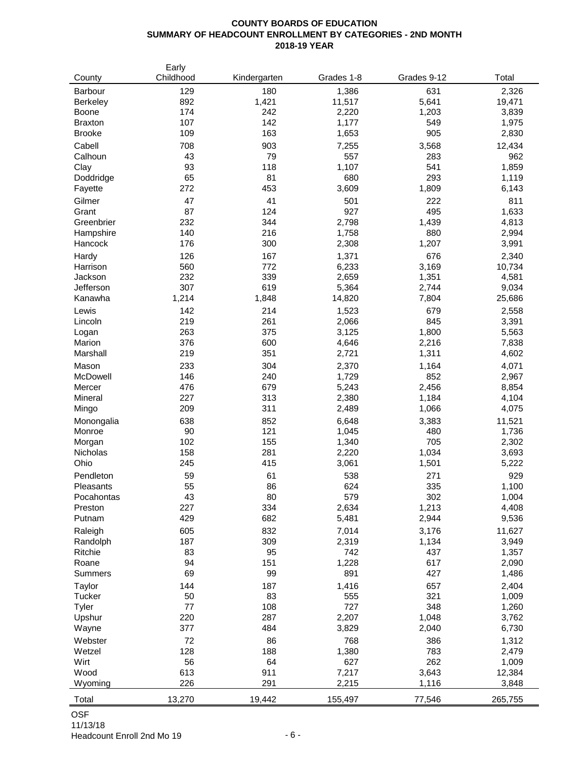#### **COUNTY BOARDS OF EDUCATION SUMMARY OF HEADCOUNT ENROLLMENT BY CATEGORIES - 2ND MONTH 2018-19 YEAR**

| County           | Early<br>Childhood | Kindergarten | Grades 1-8     | Grades 9-12  | Total           |
|------------------|--------------------|--------------|----------------|--------------|-----------------|
| Barbour          | 129                | 180          | 1,386          | 631          | 2,326           |
| <b>Berkeley</b>  | 892                | 1,421        | 11,517         | 5,641        | 19,471          |
| Boone            | 174                | 242          | 2,220          | 1,203        | 3,839           |
| <b>Braxton</b>   | 107                | 142          | 1,177          | 549          | 1,975           |
| <b>Brooke</b>    | 109                | 163          | 1,653          | 905          | 2,830           |
| Cabell           | 708                | 903          | 7,255          | 3,568        | 12,434          |
| Calhoun          | 43                 | 79           | 557            | 283          | 962             |
| Clay             | 93                 | 118          | 1,107          | 541          | 1,859           |
| Doddridge        | 65                 | 81           | 680            | 293          | 1,119           |
| Fayette          | 272                | 453          | 3,609          | 1,809        | 6,143           |
| Gilmer           | 47                 | 41           | 501            | 222          | 811             |
| Grant            | 87                 | 124          | 927            | 495          | 1,633           |
| Greenbrier       | 232                | 344          | 2,798          | 1,439        | 4,813           |
| Hampshire        | 140                | 216          | 1,758          | 880          | 2,994           |
| Hancock          | 176                | 300          | 2,308          | 1,207        | 3,991           |
| Hardy            | 126                | 167          | 1,371          | 676          | 2,340           |
| Harrison         | 560                | 772          | 6,233          | 3,169        | 10,734          |
| Jackson          | 232                | 339          | 2,659          | 1,351        | 4,581           |
| Jefferson        | 307                | 619          | 5,364          | 2,744        | 9,034           |
| Kanawha          | 1,214              | 1,848        | 14,820         | 7,804        | 25,686          |
| Lewis            | 142                | 214          | 1,523          | 679          | 2,558           |
| Lincoln          | 219                | 261          | 2,066          | 845          | 3,391           |
| Logan            | 263                | 375          | 3,125          | 1,800        | 5,563           |
| Marion           | 376                | 600          | 4,646          | 2,216        | 7,838           |
| Marshall         | 219                | 351          | 2,721          | 1,311        | 4,602           |
| Mason            | 233                | 304          | 2,370          | 1,164        | 4,071           |
| McDowell         | 146                | 240          | 1,729          | 852          | 2,967           |
| Mercer           | 476<br>227         | 679          | 5,243          | 2,456        | 8,854           |
| Mineral          | 209                | 313<br>311   | 2,380          | 1,184        | 4,104           |
| Mingo            |                    |              | 2,489          | 1,066        | 4,075           |
| Monongalia       | 638<br>90          | 852<br>121   | 6,648<br>1,045 | 3,383<br>480 | 11,521<br>1,736 |
| Monroe<br>Morgan | 102                | 155          | 1,340          | 705          | 2,302           |
| Nicholas         | 158                | 281          | 2,220          | 1,034        | 3,693           |
| Ohio             | 245                | 415          | 3,061          | 1,501        | 5,222           |
| Pendleton        | 59                 | 61           | 538            | 271          | 929             |
| Pleasants        | 55                 | 86           | 624            | 335          | 1,100           |
| Pocahontas       | 43                 | 80           | 579            | 302          | 1,004           |
| Preston          | 227                | 334          | 2,634          | 1,213        | 4,408           |
| Putnam           | 429                | 682          | 5,481          | 2,944        | 9,536           |
| Raleigh          | 605                | 832          | 7,014          | 3,176        | 11,627          |
| Randolph         | 187                | 309          | 2,319          | 1,134        | 3,949           |
| Ritchie          | 83                 | 95           | 742            | 437          | 1,357           |
| Roane            | 94                 | 151          | 1,228          | 617          | 2,090           |
| <b>Summers</b>   | 69                 | 99           | 891            | 427          | 1,486           |
| Taylor           | 144                | 187          | 1,416          | 657          | 2,404           |
| Tucker           | 50                 | 83           | 555            | 321          | 1,009           |
| Tyler            | 77                 | 108          | 727            | 348          | 1,260           |
| Upshur           | 220                | 287          | 2,207          | 1,048        | 3,762           |
| Wayne            | 377                | 484          | 3,829          | 2,040        | 6,730           |
| Webster          | 72                 | 86           | 768            | 386          | 1,312           |
| Wetzel           | 128                | 188          | 1,380          | 783          | 2,479           |
| Wirt             | 56                 | 64           | 627            | 262          | 1,009           |
| Wood             | 613                | 911          | 7,217          | 3,643        | 12,384          |
| Wyoming          | 226                | 291          | 2,215          | 1,116        | 3,848           |
| Total            | 13,270             | 19,442       | 155,497        | 77,546       | 265,755         |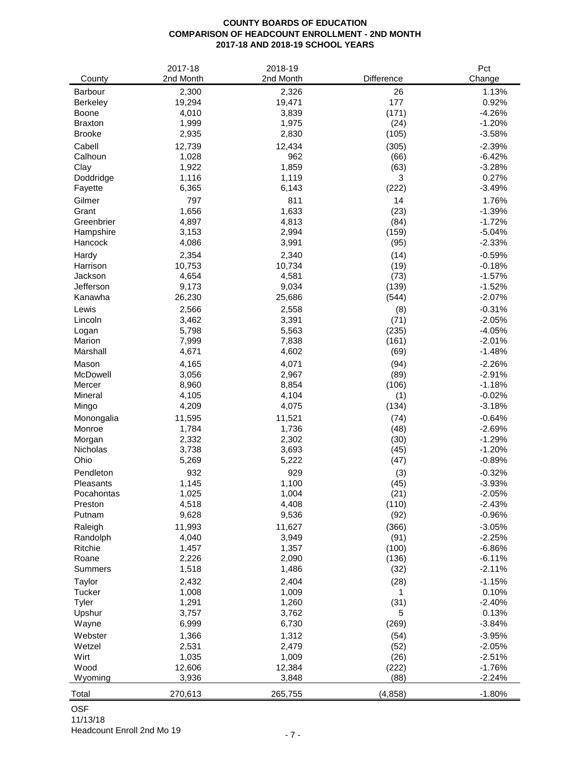## **COUNTY BOARDS OF EDUCATION COMPARISON OF HEADCOUNT ENROLLMENT - 2ND MONTH 2017-18 AND 2018-19 SCHOOL YEARS**

|                           | 2017-18        | 2018-19        |              | Pct                  |
|---------------------------|----------------|----------------|--------------|----------------------|
| County                    | 2nd Month      | 2nd Month      | Difference   | Change               |
| <b>Barbour</b>            | 2,300          | 2,326          | 26           | 1.13%                |
| Berkeley                  | 19,294         | 19,471         | 177          | 0.92%                |
| Boone                     | 4,010          | 3,839          | (171)        | $-4.26%$             |
| <b>Braxton</b>            | 1,999          | 1,975          | (24)         | $-1.20%$             |
| <b>Brooke</b>             | 2,935          | 2,830          | (105)        | $-3.58%$             |
| Cabell                    | 12,739         | 12,434         | (305)        | $-2.39%$             |
| Calhoun                   | 1,028<br>1,922 | 962<br>1,859   | (66)         | $-6.42%$<br>$-3.28%$ |
| Clay<br>Doddridge         | 1,116          | 1,119          | (63)<br>3    | 0.27%                |
| Fayette                   | 6,365          | 6,143          | (222)        | $-3.49%$             |
| Gilmer                    | 797            | 811            | 14           | 1.76%                |
| Grant                     | 1,656          | 1,633          | (23)         | $-1.39%$             |
| Greenbrier                | 4,897          | 4,813          | (84)         | $-1.72%$             |
| Hampshire                 | 3,153          | 2,994          | (159)        | $-5.04%$             |
| Hancock                   | 4,086          | 3,991          | (95)         | $-2.33%$             |
| Hardy                     | 2,354          | 2,340          | (14)         | $-0.59%$             |
| Harrison                  | 10,753         | 10,734         | (19)         | $-0.18%$             |
| Jackson                   | 4,654          | 4,581          | (73)         | $-1.57%$             |
| Jefferson                 | 9,173          | 9,034          | (139)        | $-1.52%$             |
| Kanawha                   | 26,230         | 25,686         | (544)        | $-2.07%$             |
| Lewis                     | 2,566          | 2,558          | (8)          | $-0.31%$             |
| Lincoln                   | 3,462          | 3,391          | (71)         | $-2.05%$             |
| Logan                     | 5,798          | 5,563          | (235)        | $-4.05%$             |
| Marion                    | 7,999          | 7,838          | (161)        | $-2.01%$             |
| Marshall                  | 4,671          | 4,602          | (69)         | $-1.48%$             |
| Mason                     | 4,165          | 4,071          | (94)         | $-2.26%$             |
| McDowell                  | 3,056          | 2,967          | (89)         | $-2.91%$             |
| Mercer                    | 8,960          | 8,854          | (106)        | $-1.18%$             |
| Mineral                   | 4,105          | 4,104          | (1)          | $-0.02%$             |
| Mingo                     | 4,209          | 4,075          | (134)        | $-3.18%$             |
| Monongalia                | 11,595         | 11,521         | (74)         | $-0.64%$             |
| Monroe                    | 1,784<br>2,332 | 1,736<br>2,302 | (48)<br>(30) | $-2.69%$<br>$-1.29%$ |
| Morgan<br><b>Nicholas</b> | 3,738          | 3,693          | (45)         | $-1.20%$             |
| Ohio                      | 5,269          | 5,222          | (47)         | $-0.89%$             |
| Pendleton                 | 932            | 929            | (3)          | $-0.32%$             |
| Pleasants                 | 1,145          | 1,100          | (45)         | $-3.93%$             |
| Pocahontas                | 1,025          | 1,004          | (21)         | $-2.05%$             |
| Preston                   | 4,518          | 4,408          | (110)        | $-2.43%$             |
| Putnam                    | 9,628          | 9,536          | (92)         | $-0.96%$             |
| Raleigh                   | 11,993         | 11,627         | (366)        | $-3.05%$             |
| Randolph                  | 4,040          | 3,949          | (91)         | $-2.25%$             |
| Ritchie                   | 1,457          | 1,357          | (100)        | $-6.86%$             |
| Roane                     | 2,226          | 2,090          | (136)        | $-6.11%$             |
| Summers                   | 1,518          | 1,486          | (32)         | $-2.11%$             |
| Taylor                    | 2,432          | 2,404          | (28)         | $-1.15%$             |
| <b>Tucker</b>             | 1,008          | 1,009          | 1            | 0.10%                |
| Tyler                     | 1,291          | 1,260          | (31)         | $-2.40%$             |
| Upshur                    | 3,757          | 3,762          | 5            | 0.13%                |
| Wayne                     | 6,999          | 6,730          | (269)        | $-3.84%$             |
| Webster                   | 1,366          | 1,312          | (54)         | $-3.95%$             |
| Wetzel                    | 2,531          | 2,479          | (52)         | $-2.05%$             |
| Wirt                      | 1,035          | 1,009          | (26)         | $-2.51%$             |
| Wood                      | 12,606         | 12,384         | (222)        | $-1.76%$             |
| Wyoming                   | 3,936          | 3,848          | (88)         | $-2.24%$             |
| Total                     | 270,613        | 265,755        | (4, 858)     | $-1.80%$             |

## OSF

11/13/18 Headcount Enroll 2nd Mo 19 - 7 -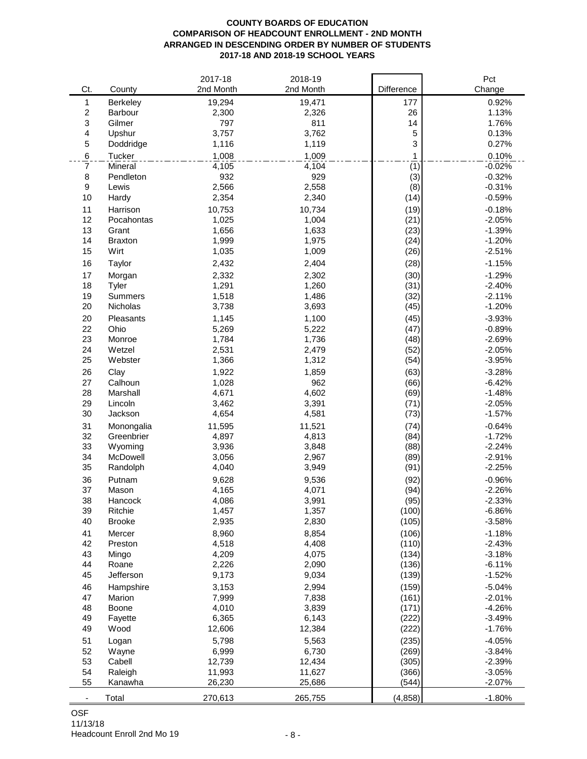#### **COUNTY BOARDS OF EDUCATION COMPARISON OF HEADCOUNT ENROLLMENT - 2ND MONTH ARRANGED IN DESCENDING ORDER BY NUMBER OF STUDENTS 2017-18 AND 2018-19 SCHOOL YEARS**

|                |                | 2017-18   | 2018-19   |            |             | Pct      |
|----------------|----------------|-----------|-----------|------------|-------------|----------|
| Ct.            | County         | 2nd Month | 2nd Month | Difference |             | Change   |
| 1              | Berkeley       | 19,294    | 19,471    |            | 177         | 0.92%    |
| $\overline{c}$ | Barbour        | 2,300     | 2,326     |            | 26          | 1.13%    |
| 3              | Gilmer         | 797       | 811       |            | 14          | 1.76%    |
| 4              | Upshur         | 3,757     | 3,762     |            | $\mathbf 5$ | 0.13%    |
| 5              | Doddridge      | 1,116     | 1,119     |            | 3           | 0.27%    |
| 6              | Tucker         | 1,008     | 1,009     |            | 1           | 0.10%    |
| 7              | Mineral        | 4,105     | 4,104     |            | (1)         | $-0.02%$ |
| 8              | Pendleton      | 932       | 929       |            | (3)         | $-0.32%$ |
| 9              | Lewis          | 2,566     | 2,558     |            | (8)         | $-0.31%$ |
| 10             | Hardy          | 2,354     | 2,340     |            | (14)        | $-0.59%$ |
| 11             | Harrison       | 10,753    | 10,734    |            | (19)        | $-0.18%$ |
| 12             | Pocahontas     | 1,025     | 1,004     |            | (21)        | $-2.05%$ |
| 13             | Grant          | 1,656     | 1,633     |            | (23)        | $-1.39%$ |
| 14             | <b>Braxton</b> | 1,999     | 1,975     |            | (24)        | $-1.20%$ |
| 15             | Wirt           | 1,035     | 1,009     |            | (26)        | $-2.51%$ |
| 16             | Taylor         | 2,432     | 2,404     |            | (28)        | $-1.15%$ |
| 17             | Morgan         | 2,332     | 2,302     |            | (30)        | $-1.29%$ |
| 18             | Tyler          | 1,291     | 1,260     |            | (31)        | $-2.40%$ |
| 19             | Summers        | 1,518     | 1,486     |            | (32)        | $-2.11%$ |
| 20             | Nicholas       | 3,738     | 3,693     |            | (45)        | $-1.20%$ |
| 20             | Pleasants      | 1,145     | 1,100     |            | (45)        | $-3.93%$ |
| 22             | Ohio           | 5,269     | 5,222     |            | (47)        | $-0.89%$ |
| 23             | Monroe         | 1,784     | 1,736     |            | (48)        | $-2.69%$ |
| 24             | Wetzel         | 2,531     | 2,479     |            | (52)        | $-2.05%$ |
| 25             | Webster        | 1,366     | 1,312     |            | (54)        | $-3.95%$ |
| 26             | Clay           | 1,922     | 1,859     |            | (63)        | $-3.28%$ |
| 27             | Calhoun        | 1,028     | 962       |            | (66)        | $-6.42%$ |
| 28             | Marshall       | 4,671     | 4,602     |            | (69)        | $-1.48%$ |
| 29             | Lincoln        | 3,462     | 3,391     |            | (71)        | $-2.05%$ |
| 30             | Jackson        | 4,654     | 4,581     |            | (73)        | $-1.57%$ |
| 31             | Monongalia     | 11,595    | 11,521    |            | (74)        | $-0.64%$ |
| 32             | Greenbrier     | 4,897     | 4,813     |            | (84)        | $-1.72%$ |
| 33             | Wyoming        | 3,936     | 3,848     |            | (88)        | $-2.24%$ |
| 34             | McDowell       | 3,056     | 2,967     |            | (89)        | $-2.91%$ |
| 35             | Randolph       | 4,040     | 3,949     |            | (91)        | $-2.25%$ |
| 36             | Putnam         | 9,628     | 9,536     |            | (92)        | $-0.96%$ |
| 37             | Mason          | 4,165     | 4,071     |            | (94)        | $-2.26%$ |
| 38             | Hancock        | 4,086     | 3,991     |            | (95)        | $-2.33%$ |
| 39             | Ritchie        | 1,457     | 1,357     |            | (100)       | $-6.86%$ |
| 40             | <b>Brooke</b>  | 2,935     | 2,830     |            | (105)       | $-3.58%$ |
| 41             | Mercer         | 8,960     | 8,854     |            | (106)       | $-1.18%$ |
| 42             | Preston        | 4,518     | 4,408     |            | (110)       | $-2.43%$ |
| 43             | Mingo          | 4,209     | 4,075     |            | (134)       | $-3.18%$ |
| 44             | Roane          | 2,226     | 2,090     |            | (136)       | $-6.11%$ |
| 45             | Jefferson      | 9,173     | 9,034     |            | (139)       | $-1.52%$ |
| 46             | Hampshire      | 3,153     | 2,994     |            | (159)       | $-5.04%$ |
| 47             | Marion         | 7,999     | 7,838     |            | (161)       | $-2.01%$ |
| 48             | Boone          | 4,010     | 3,839     |            | (171)       | $-4.26%$ |
| 49             | Fayette        | 6,365     | 6,143     |            | (222)       | $-3.49%$ |
| 49             | Wood           | 12,606    | 12,384    |            | (222)       | $-1.76%$ |
| 51             | Logan          | 5,798     | 5,563     |            | (235)       | $-4.05%$ |
| 52             | Wayne          | 6,999     | 6,730     |            | (269)       | $-3.84%$ |
| 53             | Cabell         | 12,739    | 12,434    |            | (305)       | $-2.39%$ |
| 54             | Raleigh        | 11,993    | 11,627    |            | (366)       | $-3.05%$ |
| 55             | Kanawha        | 26,230    | 25,686    |            | (544)       | $-2.07%$ |
|                | Total          | 270,613   | 265,755   |            | (4, 858)    | $-1.80%$ |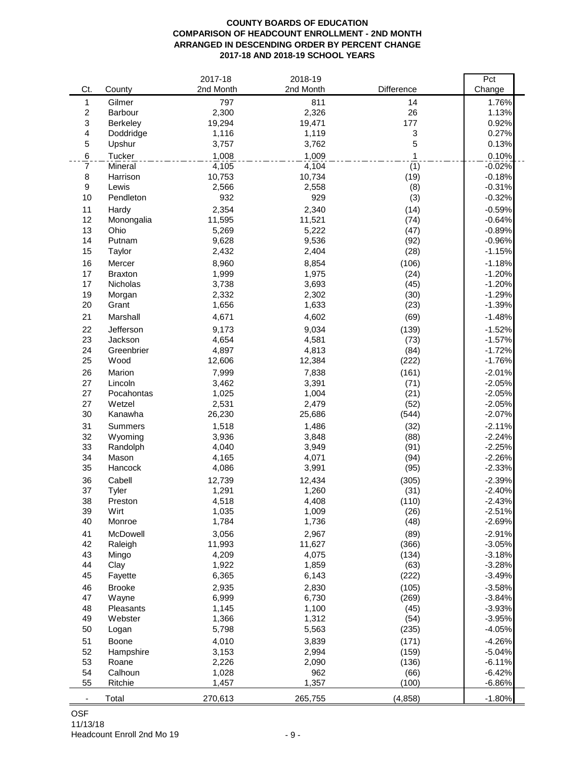#### **COUNTY BOARDS OF EDUCATION COMPARISON OF HEADCOUNT ENROLLMENT - 2ND MONTH ARRANGED IN DESCENDING ORDER BY PERCENT CHANGE 2017-18 AND 2018-19 SCHOOL YEARS**

|                          |                     | 2017-18         | 2018-19         | Difference    | Pct                  |
|--------------------------|---------------------|-----------------|-----------------|---------------|----------------------|
| Ct.                      | County              | 2nd Month       | 2nd Month       |               | Change               |
| 1                        | Gilmer              | 797             | 811             | 14            | 1.76%                |
| 2<br>3                   | Barbour<br>Berkeley | 2,300<br>19,294 | 2,326<br>19,471 | 26<br>177     | 1.13%<br>0.92%       |
| 4                        | Doddridge           | 1,116           | 1,119           | 3             | 0.27%                |
| 5                        | Upshur              | 3,757           | 3,762           | 5             | 0.13%                |
| 6                        | Tucker              | 1,008           | 1,009           | 1             | 0.10%                |
| 7                        | Mineral             | 4,105           | 4,104           | (1)           | $-0.02%$             |
| 8                        | Harrison            | 10,753          | 10,734          | (19)          | $-0.18%$             |
| 9                        | Lewis               | 2,566           | 2,558           | (8)           | $-0.31%$             |
| 10                       | Pendleton           | 932             | 929             | (3)           | $-0.32%$             |
| 11                       | Hardy               | 2,354           | 2,340           | (14)          | $-0.59%$             |
| 12                       | Monongalia          | 11,595          | 11,521          | (74)          | $-0.64%$             |
| 13                       | Ohio                | 5,269           | 5,222           | (47)          | $-0.89%$             |
| 14                       | Putnam              | 9,628           | 9,536           | (92)          | $-0.96%$             |
| 15                       | Taylor              | 2,432           | 2,404           | (28)          | $-1.15%$             |
| 16                       | Mercer              | 8,960           | 8,854           | (106)         | $-1.18%$             |
| 17                       | <b>Braxton</b>      | 1,999           | 1,975           | (24)          | $-1.20%$             |
| 17                       | Nicholas            | 3,738           | 3,693           | (45)          | $-1.20%$             |
| 19                       | Morgan              | 2,332           | 2,302           | (30)          | $-1.29%$             |
| 20                       | Grant               | 1,656           | 1,633           | (23)          | $-1.39%$             |
| 21                       | Marshall            | 4,671           | 4,602           | (69)          | $-1.48%$             |
| 22                       | Jefferson           | 9,173           | 9,034           | (139)         | $-1.52%$             |
| 23                       | Jackson             | 4,654           | 4,581           | (73)          | $-1.57%$             |
| 24                       | Greenbrier          | 4,897           | 4,813           | (84)          | $-1.72%$             |
| 25                       | Wood                | 12,606          | 12,384          | (222)         | $-1.76%$             |
| 26                       | Marion              | 7,999           | 7,838           | (161)         | $-2.01%$             |
| 27                       | Lincoln             | 3,462           | 3,391           | (71)          | $-2.05%$             |
| 27                       | Pocahontas          | 1,025           | 1,004           | (21)          | $-2.05%$             |
| 27                       | Wetzel              | 2,531           | 2,479           | (52)          | $-2.05%$             |
| 30                       | Kanawha             | 26,230          | 25,686          | (544)         | $-2.07%$             |
| 31                       | Summers             | 1,518           | 1,486           | (32)          | $-2.11%$             |
| 32                       | Wyoming             | 3,936           | 3,848           | (88)          | $-2.24%$             |
| 33                       | Randolph            | 4,040           | 3,949           | (91)          | $-2.25%$             |
| 34<br>35                 | Mason<br>Hancock    | 4,165           | 4,071           | (94)          | $-2.26%$             |
|                          |                     | 4,086           | 3,991           | (95)          | $-2.33%$             |
| 36<br>37                 | Cabell              | 12,739          | 12,434          | (305)         | $-2.39%$             |
| 38                       | Tyler<br>Preston    | 1,291<br>4,518  | 1,260<br>4,408  | (31)<br>(110) | $-2.40%$<br>$-2.43%$ |
| 39                       | Wirt                | 1,035           | 1,009           | (26)          | $-2.51%$             |
| 40                       | Monroe              | 1,784           | 1,736           | (48)          | $-2.69%$             |
| 41                       | McDowell            | 3,056           | 2,967           | (89)          | $-2.91%$             |
| 42                       | Raleigh             | 11,993          | 11,627          | (366)         | $-3.05%$             |
| 43                       | Mingo               | 4,209           | 4,075           | (134)         | $-3.18%$             |
| 44                       | Clay                | 1,922           | 1,859           | (63)          | $-3.28%$             |
| 45                       | Fayette             | 6,365           | 6,143           | (222)         | $-3.49%$             |
| 46                       | <b>Brooke</b>       | 2,935           | 2,830           | (105)         | $-3.58%$             |
| 47                       | Wayne               | 6,999           | 6,730           | (269)         | $-3.84%$             |
| 48                       | Pleasants           | 1,145           | 1,100           | (45)          | $-3.93%$             |
| 49                       | Webster             | 1,366           | 1,312           | (54)          | $-3.95%$             |
| 50                       | Logan               | 5,798           | 5,563           | (235)         | $-4.05%$             |
| 51                       | Boone               | 4,010           | 3,839           | (171)         | $-4.26%$             |
| 52                       | Hampshire           | 3,153           | 2,994           | (159)         | $-5.04%$             |
| 53                       | Roane               | 2,226           | 2,090           | (136)         | $-6.11%$             |
| 54                       | Calhoun             | 1,028           | 962             | (66)          | $-6.42%$             |
| 55                       | Ritchie             | 1,457           | 1,357           | (100)         | $-6.86%$             |
| $\overline{\phantom{a}}$ | Total               | 270,613         | 265,755         | (4, 858)      | $-1.80%$             |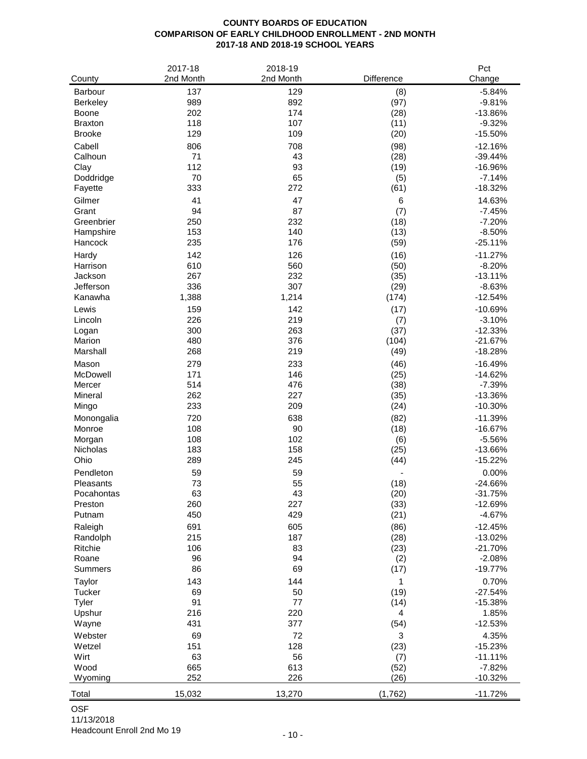## **COUNTY BOARDS OF EDUCATION COMPARISON OF EARLY CHILDHOOD ENROLLMENT - 2ND MONTH 2017-18 AND 2018-19 SCHOOL YEARS**

|                     | 2017-18    | 2018-19    |              | Pct                   |
|---------------------|------------|------------|--------------|-----------------------|
| County              | 2nd Month  | 2nd Month  | Difference   | Change                |
| Barbour             | 137        | 129        | (8)          | $-5.84%$              |
| Berkeley            | 989        | 892        | (97)         | $-9.81%$              |
| Boone               | 202        | 174        | (28)         | $-13.86%$             |
| <b>Braxton</b>      | 118        | 107        | (11)         | $-9.32%$              |
| <b>Brooke</b>       | 129        | 109        | (20)         | $-15.50%$             |
| Cabell              | 806        | 708        | (98)         | $-12.16%$             |
| Calhoun             | 71         | 43         | (28)         | $-39.44%$             |
| Clay                | 112        | 93         | (19)         | -16.96%               |
| Doddridge           | 70<br>333  | 65<br>272  | (5)<br>(61)  | $-7.14%$<br>$-18.32%$ |
| Fayette             |            |            |              |                       |
| Gilmer              | 41<br>94   | 47<br>87   | 6            | 14.63%                |
| Grant<br>Greenbrier | 250        | 232        | (7)          | $-7.45%$<br>$-7.20%$  |
| Hampshire           | 153        | 140        | (18)<br>(13) | $-8.50%$              |
| Hancock             | 235        | 176        | (59)         | $-25.11%$             |
|                     |            |            |              |                       |
| Hardy<br>Harrison   | 142<br>610 | 126<br>560 | (16)         | $-11.27%$             |
| Jackson             | 267        | 232        | (50)         | $-8.20%$<br>$-13.11%$ |
| Jefferson           | 336        | 307        | (35)<br>(29) | $-8.63%$              |
| Kanawha             | 1,388      | 1,214      | (174)        | $-12.54%$             |
|                     |            | 142        |              |                       |
| Lewis<br>Lincoln    | 159<br>226 | 219        | (17)<br>(7)  | $-10.69%$<br>$-3.10%$ |
| Logan               | 300        | 263        | (37)         | $-12.33%$             |
| Marion              | 480        | 376        | (104)        | $-21.67%$             |
| Marshall            | 268        | 219        | (49)         | $-18.28%$             |
| Mason               | 279        | 233        | (46)         | $-16.49%$             |
| McDowell            | 171        | 146        | (25)         | $-14.62%$             |
| Mercer              | 514        | 476        | (38)         | $-7.39%$              |
| Mineral             | 262        | 227        | (35)         | $-13.36%$             |
| Mingo               | 233        | 209        | (24)         | $-10.30%$             |
| Monongalia          | 720        | 638        | (82)         | $-11.39%$             |
| Monroe              | 108        | 90         | (18)         | $-16.67%$             |
| Morgan              | 108        | 102        | (6)          | $-5.56%$              |
| <b>Nicholas</b>     | 183        | 158        | (25)         | $-13.66%$             |
| Ohio                | 289        | 245        | (44)         | $-15.22%$             |
| Pendleton           | 59         | 59         |              | 0.00%                 |
| Pleasants           | 73         | 55         | (18)         | $-24.66%$             |
| Pocahontas          | 63         | 43         | (20)         | $-31.75%$             |
| Preston             | 260        | 227        | (33)         | $-12.69%$             |
| Putnam              | 450        | 429        | (21)         | $-4.67%$              |
| Raleigh             | 691        | 605        | (86)         | $-12.45%$             |
| Randolph            | 215        | 187        | (28)         | $-13.02%$             |
| Ritchie             | 106        | 83         | (23)         | $-21.70%$             |
| Roane               | 96         | 94         | (2)          | $-2.08%$              |
| <b>Summers</b>      | 86         | 69         | (17)         | $-19.77%$             |
| Taylor              | 143        | 144        | 1            | 0.70%                 |
| Tucker              | 69         | 50         | (19)         | $-27.54%$             |
| Tyler               | 91         | $77 \,$    | (14)         | $-15.38%$             |
| Upshur              | 216        | 220        | 4            | 1.85%                 |
| Wayne               | 431        | 377        | (54)         | $-12.53%$             |
| Webster             | 69         | 72         | 3            | 4.35%                 |
| Wetzel              | 151        | 128        | (23)         | $-15.23%$             |
| Wirt                | 63         | 56         | (7)          | $-11.11%$             |
| Wood                | 665        | 613        | (52)         | $-7.82%$              |
| Wyoming             | 252        | 226        | (26)         | $-10.32%$             |
| Total               | 15,032     | 13,270     | (1,762)      | $-11.72%$             |

## OSF

11/13/2018 Headcount Enroll 2nd Mo 19 - 10 - 10 -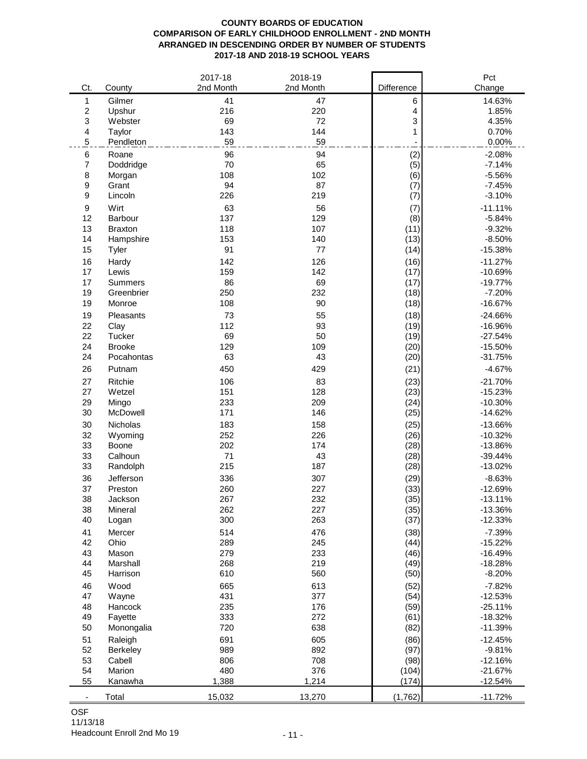### **COUNTY BOARDS OF EDUCATION COMPARISON OF EARLY CHILDHOOD ENROLLMENT - 2ND MONTH ARRANGED IN DESCENDING ORDER BY NUMBER OF STUDENTS 2017-18 AND 2018-19 SCHOOL YEARS**

| Ct.                      | County                | 2017-18<br>2nd Month | 2018-19<br>2nd Month | Difference   | Pct<br>Change          |
|--------------------------|-----------------------|----------------------|----------------------|--------------|------------------------|
| 1                        | Gilmer                | 41                   | 47                   | 6            | 14.63%                 |
| $\boldsymbol{2}$         | Upshur                | 216                  | 220                  | 4            | 1.85%                  |
| 3                        | Webster               | 69                   | 72                   | 3            | 4.35%                  |
| 4                        | Taylor                | 143                  | 144                  | 1            | 0.70%                  |
| $\mathbf 5$              | Pendleton             | 59                   | 59                   |              | 0.00%                  |
| 6                        | Roane                 | 96                   | 94                   | (2)          | $-2.08%$               |
| 7                        | Doddridge             | 70                   | 65                   | (5)          | $-7.14%$               |
| 8                        | Morgan                | 108                  | 102                  | (6)          | $-5.56%$               |
| $\boldsymbol{9}$         | Grant                 | 94                   | 87                   | (7)          | $-7.45%$               |
| 9                        | Lincoln               | 226                  | 219                  | (7)          | $-3.10%$               |
| $\boldsymbol{9}$         | Wirt                  | 63                   | 56                   | (7)          | $-11.11%$              |
| 12                       | <b>Barbour</b>        | 137                  | 129                  | (8)          | $-5.84%$               |
| 13                       | <b>Braxton</b>        | 118                  | 107                  | (11)         | $-9.32%$               |
| 14                       | Hampshire             | 153                  | 140                  | (13)         | $-8.50%$               |
| 15                       | Tyler                 | 91                   | 77                   | (14)         | $-15.38%$              |
| 16                       | Hardy                 | 142                  | 126                  | (16)         | $-11.27%$              |
| 17                       | Lewis                 | 159                  | 142                  | (17)         | $-10.69%$              |
| 17<br>19                 | <b>Summers</b>        | 86                   | 69                   | (17)         | $-19.77%$<br>$-7.20%$  |
| 19                       | Greenbrier<br>Monroe  | 250<br>108           | 232<br>90            | (18)<br>(18) | $-16.67%$              |
|                          |                       |                      |                      |              |                        |
| 19<br>22                 | Pleasants             | 73<br>112            | 55<br>93             | (18)         | $-24.66%$              |
| 22                       | Clay<br><b>Tucker</b> | 69                   | 50                   | (19)<br>(19) | $-16.96%$<br>$-27.54%$ |
| 24                       | <b>Brooke</b>         | 129                  | 109                  | (20)         | $-15.50%$              |
| 24                       | Pocahontas            | 63                   | 43                   | (20)         | $-31.75%$              |
| 26                       | Putnam                | 450                  | 429                  | (21)         | $-4.67%$               |
| 27                       | Ritchie               | 106                  | 83                   | (23)         | $-21.70%$              |
| 27                       | Wetzel                | 151                  | 128                  | (23)         | $-15.23%$              |
| 29                       | Mingo                 | 233                  | 209                  | (24)         | $-10.30%$              |
| 30                       | McDowell              | 171                  | 146                  | (25)         | $-14.62%$              |
| 30                       | Nicholas              | 183                  | 158                  | (25)         | $-13.66%$              |
| 32                       | Wyoming               | 252                  | 226                  | (26)         | $-10.32%$              |
| 33                       | Boone                 | 202                  | 174                  | (28)         | $-13.86%$              |
| 33                       | Calhoun               | 71                   | 43                   | (28)         | $-39.44%$              |
| 33                       | Randolph              | 215                  | 187                  | (28)         | $-13.02%$              |
| 36                       | Jefferson             | 336                  | 307                  | (29)         | $-8.63%$               |
| 37                       | Preston               | 260                  | 227                  | (33)         | $-12.69%$              |
| 38                       | Jackson               | 267                  | 232                  | (35)         | $-13.11%$              |
| 38                       | Mineral               | 262                  | 227                  | (35)         | $-13.36%$              |
| 40                       | Logan                 | 300                  | 263                  | (37)         | $-12.33%$              |
| 41                       | Mercer                | 514                  | 476                  | (38)         | $-7.39%$               |
| 42                       | Ohio                  | 289                  | 245                  | (44)         | $-15.22%$              |
| 43                       | Mason                 | 279                  | 233                  | (46)         | $-16.49%$              |
| 44                       | Marshall              | 268                  | 219                  | (49)         | $-18.28%$              |
| 45                       | Harrison              | 610                  | 560                  | (50)         | $-8.20%$               |
| 46                       | Wood                  | 665                  | 613                  | (52)         | $-7.82%$               |
| 47                       | Wayne                 | 431                  | 377                  | (54)         | $-12.53%$              |
| 48                       | Hancock               | 235                  | 176                  | (59)         | $-25.11%$              |
| 49<br>50                 | Fayette               | 333<br>720           | 272<br>638           | (61)<br>(82) | $-18.32%$<br>$-11.39%$ |
|                          | Monongalia            |                      |                      |              |                        |
| 51<br>52                 | Raleigh<br>Berkeley   | 691<br>989           | 605<br>892           | (86)<br>(97) | $-12.45%$<br>$-9.81%$  |
| 53                       | Cabell                | 806                  | 708                  | (98)         | $-12.16%$              |
| 54                       | Marion                | 480                  | 376                  | (104)        | $-21.67%$              |
| 55                       | Kanawha               | 1,388                | 1,214                | (174)        | $-12.54%$              |
| $\overline{\phantom{a}}$ | Total                 | 15,032               | 13,270               | (1,762)      | $-11.72%$              |
|                          |                       |                      |                      |              |                        |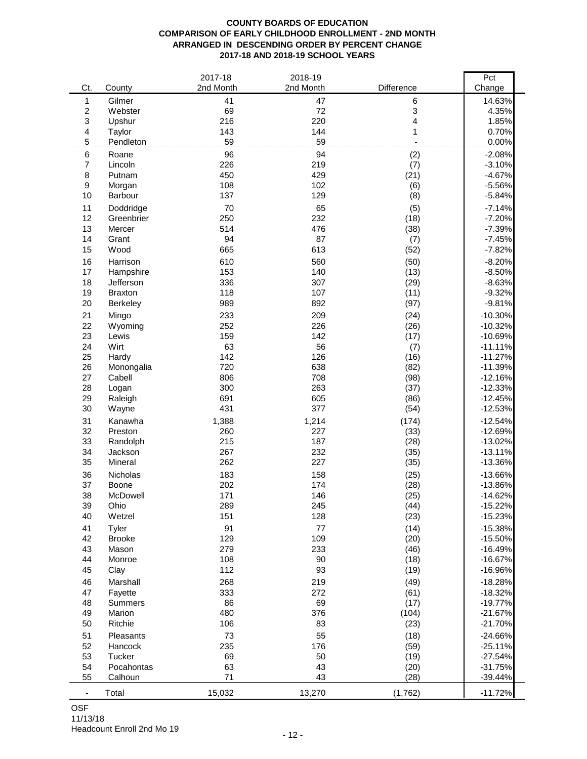### **COUNTY BOARDS OF EDUCATION COMPARISON OF EARLY CHILDHOOD ENROLLMENT - 2ND MONTH ARRANGED IN DESCENDING ORDER BY PERCENT CHANGE 2017-18 AND 2018-19 SCHOOL YEARS**

| Ct.                   |                   | 2017-18<br>2nd Month | 2018-19<br>2nd Month | Difference   | $\overline{Pct}$       |
|-----------------------|-------------------|----------------------|----------------------|--------------|------------------------|
|                       | County            |                      |                      |              | Change                 |
| 1<br>$\boldsymbol{2}$ | Gilmer<br>Webster | 41<br>69             | 47<br>72             | 6<br>3       | 14.63%<br>4.35%        |
| 3                     | Upshur            | 216                  | 220                  | 4            | 1.85%                  |
| 4                     | Taylor            | 143                  | 144                  | 1            | 0.70%                  |
| $\mathbf 5$           | Pendleton         | 59                   | 59                   |              | 0.00%                  |
| 6                     | Roane             | 96                   | 94                   | (2)          | $-2.08%$               |
| 7                     | Lincoln           | 226                  | 219                  | (7)          | $-3.10%$               |
| 8                     | Putnam            | 450                  | 429                  | (21)         | $-4.67%$               |
| $\boldsymbol{9}$      | Morgan            | 108                  | 102                  | (6)          | $-5.56%$               |
| 10                    | Barbour           | 137                  | 129                  | (8)          | $-5.84%$               |
| 11                    | Doddridge         | 70                   | 65                   | (5)          | $-7.14%$               |
| 12                    | Greenbrier        | 250                  | 232                  | (18)         | $-7.20%$               |
| 13                    | Mercer            | 514                  | 476                  | (38)         | $-7.39%$               |
| 14                    | Grant             | 94                   | 87                   | (7)          | $-7.45%$               |
| 15                    | Wood              | 665                  | 613                  | (52)         | $-7.82%$               |
| 16                    | Harrison          | 610                  | 560                  | (50)         | $-8.20%$               |
| 17                    | Hampshire         | 153                  | 140                  | (13)         | $-8.50%$               |
| 18                    | Jefferson         | 336                  | 307                  | (29)         | $-8.63%$               |
| 19                    | <b>Braxton</b>    | 118                  | 107                  | (11)         | $-9.32%$               |
| 20                    | Berkeley          | 989                  | 892                  | (97)         | $-9.81%$               |
| 21                    | Mingo             | 233                  | 209                  | (24)         | $-10.30%$              |
| 22                    | Wyoming           | 252                  | 226                  | (26)         | $-10.32%$              |
| 23                    | Lewis             | 159                  | 142                  | (17)         | $-10.69%$              |
| 24                    | Wirt              | 63                   | 56                   | (7)          | $-11.11%$              |
| 25                    | Hardy             | 142                  | 126                  | (16)         | $-11.27%$              |
| 26<br>27              | Monongalia        | 720<br>806           | 638                  | (82)         | $-11.39%$              |
| 28                    | Cabell<br>Logan   | 300                  | 708<br>263           | (98)<br>(37) | $-12.16%$<br>$-12.33%$ |
| 29                    | Raleigh           | 691                  | 605                  | (86)         | $-12.45%$              |
| 30                    | Wayne             | 431                  | 377                  | (54)         | $-12.53%$              |
| 31                    | Kanawha           | 1,388                | 1,214                | (174)        | $-12.54%$              |
| 32                    | Preston           | 260                  | 227                  | (33)         | $-12.69%$              |
| 33                    | Randolph          | 215                  | 187                  | (28)         | $-13.02%$              |
| 34                    | Jackson           | 267                  | 232                  | (35)         | $-13.11%$              |
| 35                    | Mineral           | 262                  | 227                  | (35)         | $-13.36%$              |
| 36                    | Nicholas          | 183                  | 158                  | (25)         | $-13.66%$              |
| 37                    | Boone             | 202                  | 174                  | (28)         | $-13.86%$              |
| 38                    | McDowell          | 171                  | 146                  | (25)         | $-14.62%$              |
| 39                    | Ohio              | 289                  | 245                  | (44)         | $-15.22%$              |
| 40                    | Wetzel            | 151                  | 128                  | (23)         | $-15.23%$              |
| 41                    | Tyler             | 91                   | $77 \,$              | (14)         | $-15.38%$              |
| 42                    | <b>Brooke</b>     | 129                  | 109                  | (20)         | $-15.50%$              |
| 43                    | Mason             | 279                  | 233                  | (46)         | $-16.49%$              |
| 44                    | Monroe            | 108                  | 90                   | (18)         | $-16.67%$              |
| 45                    | Clay              | 112                  | 93                   | (19)         | $-16.96%$              |
| 46                    | Marshall          | 268                  | 219                  | (49)         | $-18.28%$              |
| 47                    | Fayette           | 333                  | 272                  | (61)         | $-18.32%$              |
| 48                    | <b>Summers</b>    | 86                   | 69                   | (17)         | $-19.77%$              |
| 49                    | Marion            | 480                  | 376                  | (104)        | $-21.67%$              |
| 50                    | Ritchie           | 106                  | 83                   | (23)         | $-21.70%$              |
| 51                    | Pleasants         | 73                   | 55                   | (18)         | $-24.66%$              |
| 52                    | Hancock           | 235                  | 176                  | (59)         | $-25.11%$              |
| 53                    | Tucker            | 69                   | 50                   | (19)         | $-27.54%$              |
| 54                    | Pocahontas        | 63                   | 43                   | (20)         | $-31.75%$              |
| 55                    | Calhoun           | 71                   | 43                   | (28)         | $-39.44%$              |
|                       | Total             | 15,032               | 13,270               | (1,762)      | $-11.72%$              |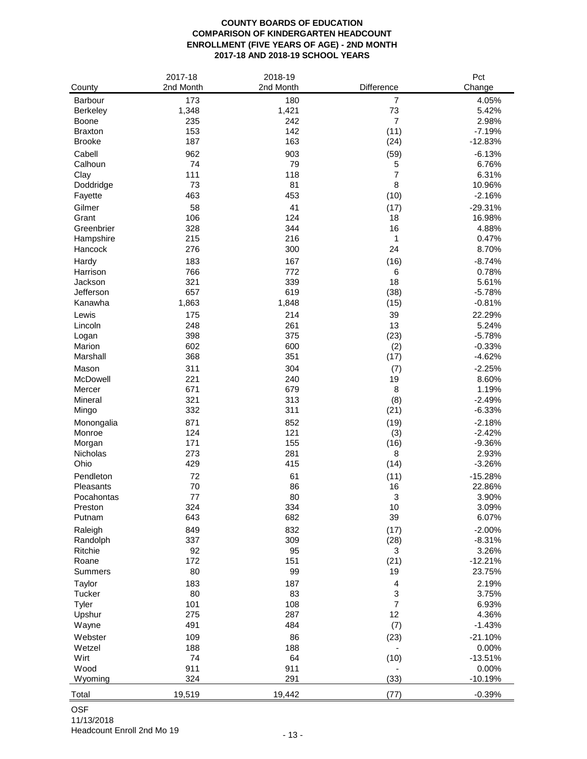### **COUNTY BOARDS OF EDUCATION COMPARISON OF KINDERGARTEN HEADCOUNT ENROLLMENT (FIVE YEARS OF AGE) - 2ND MONTH 2017-18 AND 2018-19 SCHOOL YEARS**

|                     | 2017-18    | 2018-19    |                           | Pct               |
|---------------------|------------|------------|---------------------------|-------------------|
| County              | 2nd Month  | 2nd Month  | Difference                | Change            |
| Barbour             | 173        | 180        | $\overline{7}$            | 4.05%             |
| Berkeley            | 1,348      | 1,421      | 73                        | 5.42%             |
| Boone               | 235        | 242        | $\overline{7}$            | 2.98%             |
| <b>Braxton</b>      | 153        | 142        | (11)                      | $-7.19%$          |
| <b>Brooke</b>       | 187        | 163        | (24)                      | $-12.83%$         |
| Cabell              | 962        | 903        | (59)                      | $-6.13%$          |
| Calhoun             | 74         | 79         | 5                         | 6.76%             |
| Clay                | 111        | 118        | $\overline{7}$            | 6.31%             |
| Doddridge           | 73         | 81         | 8                         | 10.96%            |
| Fayette             | 463        | 453        | (10)                      | $-2.16%$          |
| Gilmer              | 58         | 41         | (17)                      | $-29.31%$         |
| Grant               | 106        | 124        | 18                        | 16.98%            |
| Greenbrier          | 328        | 344        | 16                        | 4.88%             |
| Hampshire           | 215        | 216        | 1                         | 0.47%             |
| Hancock             | 276        | 300        | 24                        | 8.70%             |
|                     |            |            |                           |                   |
| Hardy               | 183        | 167<br>772 | (16)                      | $-8.74%$<br>0.78% |
| Harrison<br>Jackson | 766<br>321 | 339        | 6<br>18                   | 5.61%             |
| Jefferson           | 657        | 619        | (38)                      | $-5.78%$          |
| Kanawha             | 1,863      | 1,848      | (15)                      | $-0.81%$          |
|                     |            |            |                           |                   |
| Lewis               | 175        | 214        | 39                        | 22.29%            |
| Lincoln             | 248        | 261        | 13                        | 5.24%             |
| Logan               | 398        | 375        | (23)                      | $-5.78%$          |
| Marion              | 602        | 600        | (2)                       | $-0.33%$          |
| Marshall            | 368        | 351        | (17)                      | $-4.62%$          |
| Mason               | 311        | 304        | (7)                       | $-2.25%$          |
| McDowell            | 221        | 240        | 19                        | 8.60%             |
| Mercer              | 671        | 679        | 8                         | 1.19%             |
| Mineral             | 321        | 313        | (8)                       | $-2.49%$          |
| Mingo               | 332        | 311        | (21)                      | $-6.33%$          |
| Monongalia          | 871        | 852        | (19)                      | $-2.18%$          |
| Monroe              | 124        | 121        | (3)                       | $-2.42%$          |
| Morgan              | 171        | 155        | (16)                      | $-9.36%$          |
| Nicholas            | 273        | 281        | 8                         | 2.93%             |
| Ohio                | 429        | 415        | (14)                      | $-3.26%$          |
| Pendleton           | 72         | 61         | (11)                      | $-15.28%$         |
| Pleasants           | 70         | 86         | 16                        | 22.86%            |
| Pocahontas          | 77         | 80         | 3                         | 3.90%             |
| Preston             | 324        | 334        | 10                        | 3.09%             |
| Putnam              | 643        | 682        | 39                        | 6.07%             |
| Raleigh             | 849        | 832        | (17)                      | $-2.00%$          |
| Randolph            | 337        | 309        | (28)                      | $-8.31%$          |
| Ritchie             | 92         | 95         | 3                         | 3.26%             |
| Roane               | 172        | 151        | (21)                      | $-12.21%$         |
| Summers             | 80         | 99         | 19                        | 23.75%            |
| Taylor              | 183        | 187        | $\overline{\mathbf{4}}$   | 2.19%             |
| Tucker              | 80         | 83         | $\ensuremath{\mathsf{3}}$ | 3.75%             |
| Tyler               | 101        | 108        | $\overline{7}$            | 6.93%             |
| Upshur              | 275        | 287        | 12                        | 4.36%             |
| Wayne               | 491        | 484        | (7)                       | $-1.43%$          |
| Webster             | 109        | 86         | (23)                      | $-21.10%$         |
| Wetzel              | 188        | 188        |                           | 0.00%             |
| Wirt                | 74         | 64         | (10)                      | $-13.51%$         |
| Wood                | 911        | 911        |                           | 0.00%             |
| Wyoming             | 324        | 291        | (33)                      | $-10.19%$         |
| Total               | 19,519     | 19,442     | (77)                      | $-0.39%$          |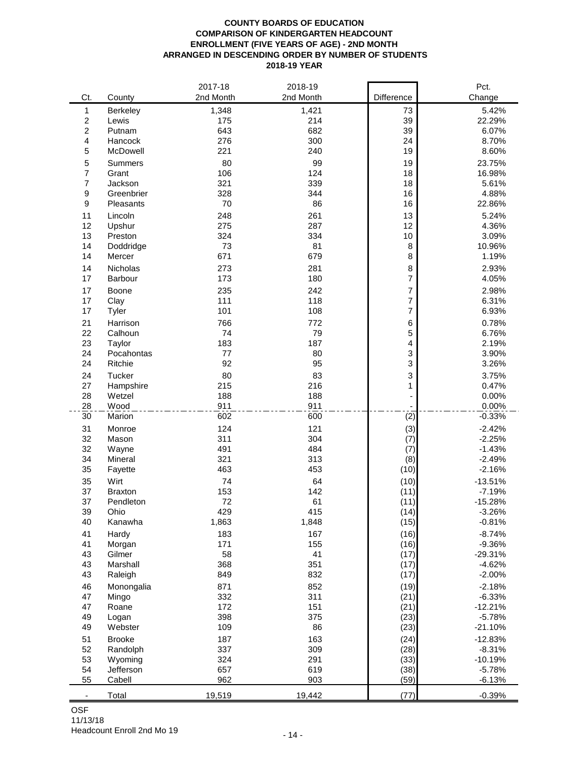#### **COUNTY BOARDS OF EDUCATION COMPARISON OF KINDERGARTEN HEADCOUNT ENROLLMENT (FIVE YEARS OF AGE) - 2ND MONTH ARRANGED IN DESCENDING ORDER BY NUMBER OF STUDENTS 2018-19 YEAR**

|                  |                  | 2017-18    | 2018-19    |                  | Pct.      |
|------------------|------------------|------------|------------|------------------|-----------|
| Ct.              | County           | 2nd Month  | 2nd Month  | Difference       | Change    |
| 1                | Berkeley         | 1,348      | 1,421      | 73               | 5.42%     |
| $\boldsymbol{2}$ | Lewis            | 175        | 214        | 39               | 22.29%    |
| $\overline{2}$   | Putnam           | 643        | 682        | 39               | 6.07%     |
| 4                | Hancock          | 276        | 300        | 24               | 8.70%     |
| 5                | McDowell         | 221        | 240        | 19               | 8.60%     |
| 5                | Summers          | 80         | 99         | 19               | 23.75%    |
| $\overline{7}$   | Grant            | 106        | 124        | 18               | 16.98%    |
| $\overline{7}$   | Jackson          | 321        | 339        | 18               | 5.61%     |
| 9                | Greenbrier       | 328        | 344        | 16               | 4.88%     |
| 9                | Pleasants        | 70         | 86         | 16               | 22.86%    |
| 11               | Lincoln          | 248        | 261        | 13               | 5.24%     |
| 12               | Upshur           | 275        | 287        | 12               | 4.36%     |
| 13               | Preston          | 324        | 334        | $10$             | 3.09%     |
| 14               | Doddridge        | 73         | 81         | 8                | 10.96%    |
| 14               | Mercer           | 671        | 679        | 8                | 1.19%     |
| 14               | <b>Nicholas</b>  | 273        |            |                  | 2.93%     |
|                  |                  |            | 281        | 8<br>7           |           |
| 17               | Barbour          | 173        | 180        |                  | 4.05%     |
| 17               | Boone            | 235        | 242        | $\overline{7}$   | 2.98%     |
| 17               | Clay             | 111        | 118        | $\boldsymbol{7}$ | 6.31%     |
| 17               | Tyler            | 101        | 108        | 7                | 6.93%     |
| 21               | Harrison         | 766        | 772        | 6                | 0.78%     |
| 22               | Calhoun          | 74         | 79         | 5                | 6.76%     |
| 23               | Taylor           | 183        | 187        | 4                | 2.19%     |
| 24               | Pocahontas       | 77         | 80         | 3                | 3.90%     |
| 24               | Ritchie          | 92         | 95         | 3                | 3.26%     |
| 24               | Tucker           | 80         | 83         | 3                | 3.75%     |
| 27               | Hampshire        | 215        | 216        | 1                | 0.47%     |
| 28               | Wetzel           | 188        | 188        |                  | 0.00%     |
| 28               | Wood             | 911        | 911        |                  | 0.00%     |
| 30               | Marion           | 602        | 600        | (2)              | $-0.33%$  |
| 31               | Monroe           | 124        | 121        | (3)              | $-2.42%$  |
| 32               | Mason            | 311        | 304        | (7)              | $-2.25%$  |
| 32               | Wayne            | 491        | 484        | (7)              | $-1.43%$  |
| 34               | Mineral          | 321        | 313        | (8)              | $-2.49%$  |
| 35               | Fayette          | 463        | 453        | (10)             | $-2.16%$  |
| 35               | Wirt             | 74         | 64         | (10)             | $-13.51%$ |
| 37               | <b>Braxton</b>   | 153        | 142        | (11)             | $-7.19%$  |
| 37               | Pendleton        | 72         | 61         | (11)             | $-15.28%$ |
| 39               | Ohio             | 429        | 415        | (14)             | $-3.26%$  |
| 40               | Kanawha          | 1,863      | 1,848      | (15)             | $-0.81%$  |
| 41               | Hardy            | 183        | 167        | (16)             | $-8.74%$  |
| 41               | Morgan           | 171        | 155        | (16)             | $-9.36%$  |
| 43               | Gilmer           | 58         | 41         | (17)             | $-29.31%$ |
| 43               | Marshall         | 368        | 351        | (17)             | $-4.62%$  |
| 43               | Raleigh          | 849        | 832        | (17)             | $-2.00%$  |
|                  |                  |            |            |                  | $-2.18%$  |
| 46<br>47         | Monongalia       | 871<br>332 | 852<br>311 | (19)             | $-6.33%$  |
|                  | Mingo            | 172        | 151        | (21)             | $-12.21%$ |
| 47<br>49         | Roane            | 398        | 375        | (21)<br>(23)     | $-5.78%$  |
| 49               | Logan<br>Webster | 109        | 86         | (23)             | $-21.10%$ |
|                  |                  |            |            |                  |           |
| 51               | <b>Brooke</b>    | 187        | 163        | (24)             | $-12.83%$ |
| 52               | Randolph         | 337        | 309        | (28)             | $-8.31%$  |
| 53               | Wyoming          | 324        | 291        | (33)             | $-10.19%$ |
| 54               | Jefferson        | 657        | 619        | (38)             | $-5.78%$  |
| 55               | Cabell           | 962        | 903        | (59)             | $-6.13%$  |
|                  | Total            | 19,519     | 19,442     | (77)             | $-0.39%$  |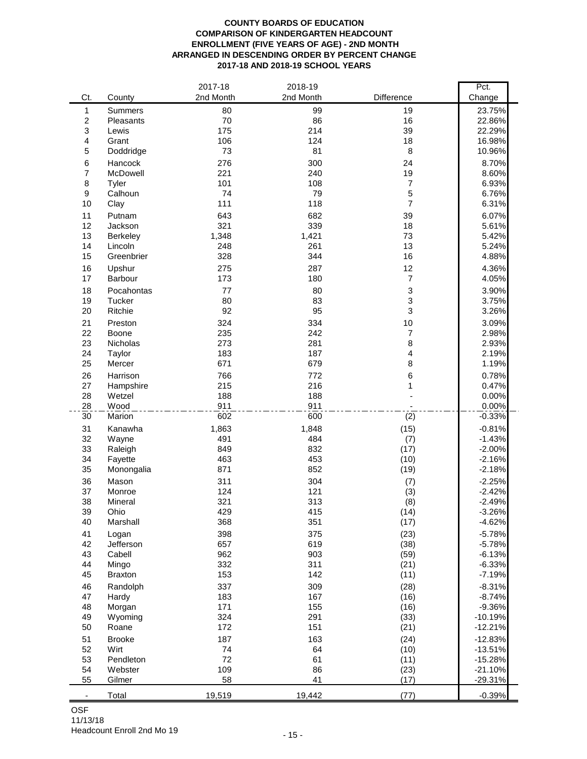#### **COUNTY BOARDS OF EDUCATION COMPARISON OF KINDERGARTEN HEADCOUNT ENROLLMENT (FIVE YEARS OF AGE) - 2ND MONTH ARRANGED IN DESCENDING ORDER BY PERCENT CHANGE 2017-18 AND 2018-19 SCHOOL YEARS**

|                  |                            | 2017-18      | 2018-19      |                  | Pct.                 |
|------------------|----------------------------|--------------|--------------|------------------|----------------------|
| Ct.              | County                     | 2nd Month    | 2nd Month    | Difference       | Change               |
| 1                | <b>Summers</b>             | 80           | 99           | 19               | 23.75%               |
| $\boldsymbol{2}$ | Pleasants                  | 70           | 86           | 16               | 22.86%               |
| 3                | Lewis                      | 175          | 214          | 39               | 22.29%               |
| 4                | Grant                      | 106          | 124          | 18               | 16.98%               |
| 5                | Doddridge                  | 73           | 81           | 8                | 10.96%               |
| 6                | Hancock                    | 276          | 300          | 24               | 8.70%                |
| 7                | McDowell                   | 221          | 240          | 19               | 8.60%                |
| 8                | Tyler                      | 101          | 108          | $\boldsymbol{7}$ | 6.93%                |
| 9                | Calhoun                    | 74           | 79           | 5                | 6.76%                |
| 10               | Clay                       | 111          | 118          | $\overline{7}$   | 6.31%                |
| 11               | Putnam                     | 643          | 682          | 39               | 6.07%                |
| 12               | Jackson                    | 321          | 339          | 18               | 5.61%                |
| 13<br>14         | <b>Berkeley</b><br>Lincoln | 1,348<br>248 | 1,421<br>261 | 73<br>13         | 5.42%<br>5.24%       |
| 15               | Greenbrier                 | 328          | 344          | 16               | 4.88%                |
|                  |                            | 275          |              | 12               | 4.36%                |
| 16<br>17         | Upshur<br>Barbour          | 173          | 287<br>180   | $\overline{7}$   | 4.05%                |
|                  |                            |              |              |                  |                      |
| 18<br>19         | Pocahontas<br>Tucker       | 77<br>80     | 80<br>83     | 3<br>3           | 3.90%<br>3.75%       |
| 20               | Ritchie                    | 92           | 95           | 3                | 3.26%                |
|                  |                            |              |              | 10               | 3.09%                |
| 21<br>22         | Preston<br>Boone           | 324<br>235   | 334<br>242   | 7                | 2.98%                |
| 23               | Nicholas                   | 273          | 281          | 8                | 2.93%                |
| 24               | Taylor                     | 183          | 187          | 4                | 2.19%                |
| 25               | Mercer                     | 671          | 679          | 8                | 1.19%                |
| 26               | Harrison                   | 766          | 772          | 6                | 0.78%                |
| 27               | Hampshire                  | 215          | 216          | 1                | 0.47%                |
| 28               | Wetzel                     | 188          | 188          |                  | 0.00%                |
| 28               | Wood                       | 911          | 911          |                  | 0.00%                |
| 30               | Marion                     | 602          | 600          | (2)              | $-0.33%$             |
| 31               | Kanawha                    | 1,863        | 1,848        | (15)             | $-0.81%$             |
| 32               | Wayne                      | 491          | 484          | (7)              | $-1.43%$             |
| 33               | Raleigh                    | 849          | 832          | (17)             | $-2.00%$             |
| 34               | Fayette                    | 463          | 453          | (10)             | $-2.16%$             |
| 35               | Monongalia                 | 871          | 852          | (19)             | $-2.18%$             |
| 36               | Mason                      | 311          | 304          | (7)              | $-2.25%$             |
| 37               | Monroe                     | 124          | 121          | (3)              | $-2.42%$             |
| 38               | Mineral                    | 321          | 313          | (8)              | $-2.49%$             |
| 39               | Ohio                       | 429          | 415          | (14)             | $-3.26%$             |
| 40               | Marshall                   | 368          | 351          | (17)             | $-4.62%$             |
| 41               | Logan                      | 398          | 375          | (23)             | $-5.78%$             |
| 42               | Jefferson                  | 657          | 619          | (38)             | $-5.78%$             |
| 43<br>44         | Cabell<br>Mingo            | 962<br>332   | 903<br>311   | (59)<br>(21)     | $-6.13%$<br>$-6.33%$ |
| 45               | <b>Braxton</b>             | 153          | 142          | (11)             | $-7.19%$             |
| 46               | Randolph                   | 337          | 309          | (28)             | $-8.31%$             |
| 47               | Hardy                      | 183          | 167          | (16)             | $-8.74%$             |
| 48               | Morgan                     | 171          | 155          | (16)             | $-9.36%$             |
| 49               | Wyoming                    | 324          | 291          | (33)             | $-10.19%$            |
| 50               | Roane                      | 172          | 151          | (21)             | $-12.21%$            |
| 51               | <b>Brooke</b>              | 187          | 163          | (24)             | $-12.83%$            |
| 52               | Wirt                       | 74           | 64           | (10)             | $-13.51%$            |
| 53               | Pendleton                  | 72           | 61           | (11)             | $-15.28%$            |
| 54               | Webster                    | 109          | 86           | (23)             | $-21.10%$            |
| 55               | Gilmer                     | 58           | 41           | (17)             | $-29.31%$            |
|                  | Total                      | 19,519       | 19,442       | (77)             | $-0.39%$             |